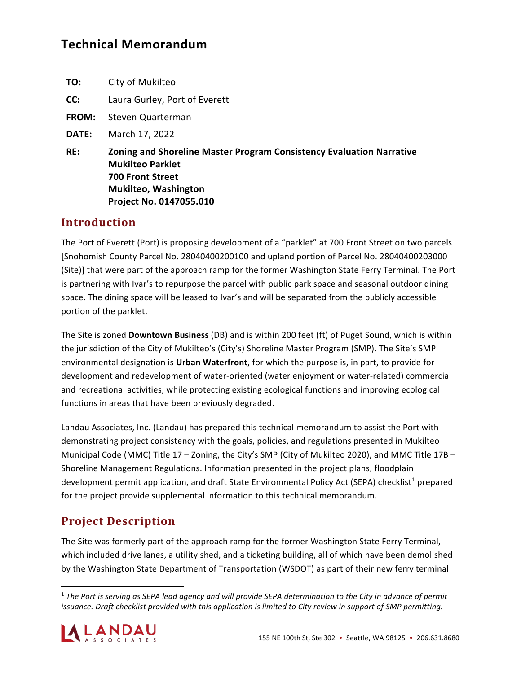| TO:          | City of Mukilteo                                                                                                                                                                     |
|--------------|--------------------------------------------------------------------------------------------------------------------------------------------------------------------------------------|
| CC:          | Laura Gurley, Port of Everett                                                                                                                                                        |
| <b>FROM:</b> | Steven Quarterman                                                                                                                                                                    |
| DATE:        | March 17, 2022                                                                                                                                                                       |
| RE:          | <b>Zoning and Shoreline Master Program Consistency Evaluation Narrative</b><br><b>Mukilteo Parklet</b><br><b>700 Front Street</b><br>Mukilteo, Washington<br>Project No. 0147055.010 |
| Introduction |                                                                                                                                                                                      |

# **Introduction**

The Port of Everett (Port) is proposing development of a "parklet" at 700 Front Street on two parcels [Snohomish County Parcel No. 28040400200100 and upland portion of Parcel No. 28040400203000 (Site)] that were part of the approach ramp for the former Washington State Ferry Terminal. The Port is partnering with Ivar's to repurpose the parcel with public park space and seasonal outdoor dining space. The dining space will be leased to Ivar's and will be separated from the publicly accessible portion of the parklet.

The Site is zoned **Downtown Business** (DB) and is within 200 feet (ft) of Puget Sound, which is within the jurisdiction of the City of Mukilteo's (City's) Shoreline Master Program (SMP). The Site's SMP environmental designation is **Urban Waterfront**, for which the purpose is, in part, to provide for development and redevelopment of water-oriented (water enjoyment or water-related) commercial and recreational activities, while protecting existing ecological functions and improving ecological functions in areas that have been previously degraded.

Landau Associates, Inc. (Landau) has prepared this technical memorandum to assist the Port with demonstrating project consistency with the goals, policies, and regulations presented in Mukilteo Municipal Code (MMC) Title 17 – Zoning, the City's SMP (City of Mukilteo 2020), and MMC Title 17B – Shoreline Management Regulations. Information presented in the project plans, floodplain development permit application, and draft State Environmental Policy Act (SEPA) checklist<sup>[1](#page-0-0)</sup> prepared for the project provide supplemental information to this technical memorandum.

# **Project Description**

The Site was formerly part of the approach ramp for the former Washington State Ferry Terminal, which included drive lanes, a utility shed, and a ticketing building, all of which have been demolished by the Washington State Department of Transportation (WSDOT) as part of their new ferry terminal

<span id="page-0-0"></span><sup>1</sup> *The Port is serving as SEPA lead agency and will provide SEPA determination to the City in advance of permit issuance. Draft checklist provided with this application is limited to City review in support of SMP permitting.*

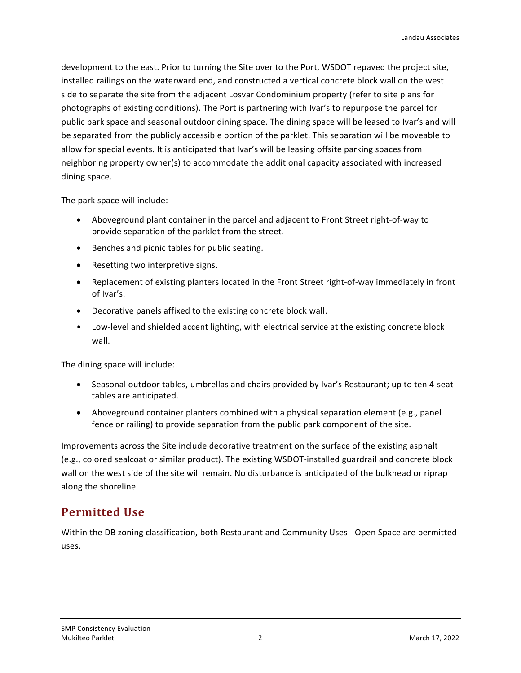development to the east. Prior to turning the Site over to the Port, WSDOT repaved the project site, installed railings on the waterward end, and constructed a vertical concrete block wall on the west side to separate the site from the adjacent Losvar Condominium property (refer to site plans for photographs of existing conditions). The Port is partnering with Ivar's to repurpose the parcel for public park space and seasonal outdoor dining space. The dining space will be leased to Ivar's and will be separated from the publicly accessible portion of the parklet. This separation will be moveable to allow for special events. It is anticipated that Ivar's will be leasing offsite parking spaces from neighboring property owner(s) to accommodate the additional capacity associated with increased dining space.

The park space will include:

- Aboveground plant container in the parcel and adjacent to Front Street right-of-way to provide separation of the parklet from the street.
- Benches and picnic tables for public seating.
- Resetting two interpretive signs.
- Replacement of existing planters located in the Front Street right-of-way immediately in front of Ivar's.
- Decorative panels affixed to the existing concrete block wall.
- Low-level and shielded accent lighting, with electrical service at the existing concrete block wall.

The dining space will include:

- Seasonal outdoor tables, umbrellas and chairs provided by Ivar's Restaurant; up to ten 4-seat tables are anticipated.
- Aboveground container planters combined with a physical separation element (e.g., panel fence or railing) to provide separation from the public park component of the site.

Improvements across the Site include decorative treatment on the surface of the existing asphalt (e.g., colored sealcoat or similar product). The existing WSDOT-installed guardrail and concrete block wall on the west side of the site will remain. No disturbance is anticipated of the bulkhead or riprap along the shoreline.

# **Permitted Use**

Within the DB zoning classification, both Restaurant and Community Uses - Open Space are permitted uses.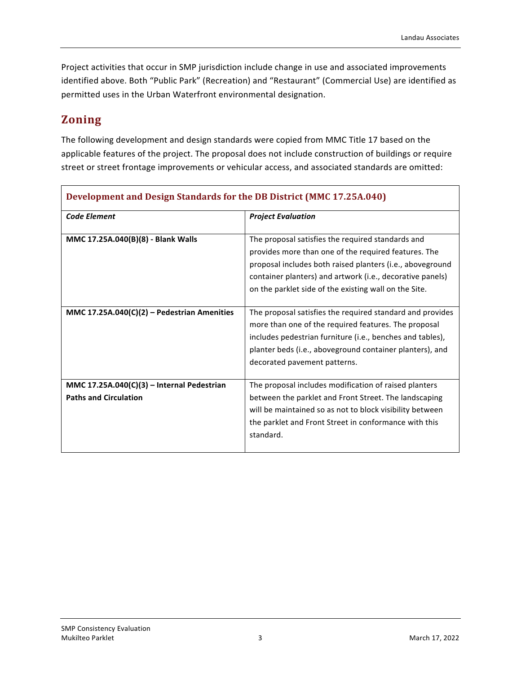Project activities that occur in SMP jurisdiction include change in use and associated improvements identified above. Both "Public Park" (Recreation) and "Restaurant" (Commercial Use) are identified as permitted uses in the Urban Waterfront environmental designation.

## **Zoning**

The following development and design standards were copied from MMC Title 17 based on the applicable features of the project. The proposal does not include construction of buildings or require street or street frontage improvements or vehicular access, and associated standards are omitted:

| <b>Code Element</b>                                                        | <b>Project Evaluation</b>                                                                                                                                                                                                                                                                    |
|----------------------------------------------------------------------------|----------------------------------------------------------------------------------------------------------------------------------------------------------------------------------------------------------------------------------------------------------------------------------------------|
| MMC 17.25A.040(B)(8) - Blank Walls                                         | The proposal satisfies the required standards and<br>provides more than one of the required features. The<br>proposal includes both raised planters (i.e., aboveground<br>container planters) and artwork (i.e., decorative panels)<br>on the parklet side of the existing wall on the Site. |
| MMC 17.25A.040(C)(2) - Pedestrian Amenities                                | The proposal satisfies the required standard and provides<br>more than one of the required features. The proposal<br>includes pedestrian furniture (i.e., benches and tables),<br>planter beds (i.e., aboveground container planters), and<br>decorated pavement patterns.                   |
| MMC 17.25A.040(C)(3) - Internal Pedestrian<br><b>Paths and Circulation</b> | The proposal includes modification of raised planters<br>between the parklet and Front Street. The landscaping<br>will be maintained so as not to block visibility between<br>the parklet and Front Street in conformance with this<br>standard.                                             |

#### **Development and Design Standards for the DB District (MMC 17.25A.040)**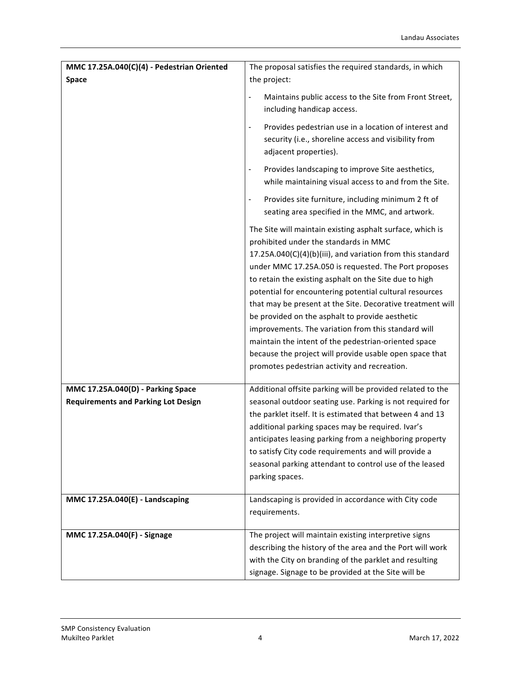| <b>Space</b><br>the project:<br>Maintains public access to the Site from Front Street,<br>$\overline{\phantom{a}}$<br>including handicap access.<br>Provides pedestrian use in a location of interest and<br>$\blacksquare$<br>security (i.e., shoreline access and visibility from<br>adjacent properties).<br>Provides landscaping to improve Site aesthetics,<br>$\blacksquare$<br>while maintaining visual access to and from the Site.<br>Provides site furniture, including minimum 2 ft of<br>$\blacksquare$<br>seating area specified in the MMC, and artwork.<br>The Site will maintain existing asphalt surface, which is<br>prohibited under the standards in MMC<br>17.25A.040(C)(4)(b)(iii), and variation from this standard<br>under MMC 17.25A.050 is requested. The Port proposes<br>to retain the existing asphalt on the Site due to high<br>potential for encountering potential cultural resources<br>that may be present at the Site. Decorative treatment will<br>be provided on the asphalt to provide aesthetic<br>improvements. The variation from this standard will<br>maintain the intent of the pedestrian-oriented space<br>because the project will provide usable open space that<br>promotes pedestrian activity and recreation.<br>MMC 17.25A.040(D) - Parking Space<br>Additional offsite parking will be provided related to the<br><b>Requirements and Parking Lot Design</b><br>seasonal outdoor seating use. Parking is not required for<br>the parklet itself. It is estimated that between 4 and 13<br>additional parking spaces may be required. Ivar's<br>anticipates leasing parking from a neighboring property<br>to satisfy City code requirements and will provide a<br>seasonal parking attendant to control use of the leased<br>parking spaces.<br>MMC 17.25A.040(E) - Landscaping<br>Landscaping is provided in accordance with City code<br>requirements.<br>MMC 17.25A.040(F) - Signage<br>The project will maintain existing interpretive signs<br>describing the history of the area and the Port will work<br>with the City on branding of the parklet and resulting | MMC 17.25A.040(C)(4) - Pedestrian Oriented | The proposal satisfies the required standards, in which |
|--------------------------------------------------------------------------------------------------------------------------------------------------------------------------------------------------------------------------------------------------------------------------------------------------------------------------------------------------------------------------------------------------------------------------------------------------------------------------------------------------------------------------------------------------------------------------------------------------------------------------------------------------------------------------------------------------------------------------------------------------------------------------------------------------------------------------------------------------------------------------------------------------------------------------------------------------------------------------------------------------------------------------------------------------------------------------------------------------------------------------------------------------------------------------------------------------------------------------------------------------------------------------------------------------------------------------------------------------------------------------------------------------------------------------------------------------------------------------------------------------------------------------------------------------------------------------------------------------------------------------------------------------------------------------------------------------------------------------------------------------------------------------------------------------------------------------------------------------------------------------------------------------------------------------------------------------------------------------------------------------------------------------------------------------------------------------------------------------------------------------------|--------------------------------------------|---------------------------------------------------------|
|                                                                                                                                                                                                                                                                                                                                                                                                                                                                                                                                                                                                                                                                                                                                                                                                                                                                                                                                                                                                                                                                                                                                                                                                                                                                                                                                                                                                                                                                                                                                                                                                                                                                                                                                                                                                                                                                                                                                                                                                                                                                                                                                |                                            |                                                         |
|                                                                                                                                                                                                                                                                                                                                                                                                                                                                                                                                                                                                                                                                                                                                                                                                                                                                                                                                                                                                                                                                                                                                                                                                                                                                                                                                                                                                                                                                                                                                                                                                                                                                                                                                                                                                                                                                                                                                                                                                                                                                                                                                |                                            |                                                         |
|                                                                                                                                                                                                                                                                                                                                                                                                                                                                                                                                                                                                                                                                                                                                                                                                                                                                                                                                                                                                                                                                                                                                                                                                                                                                                                                                                                                                                                                                                                                                                                                                                                                                                                                                                                                                                                                                                                                                                                                                                                                                                                                                |                                            |                                                         |
|                                                                                                                                                                                                                                                                                                                                                                                                                                                                                                                                                                                                                                                                                                                                                                                                                                                                                                                                                                                                                                                                                                                                                                                                                                                                                                                                                                                                                                                                                                                                                                                                                                                                                                                                                                                                                                                                                                                                                                                                                                                                                                                                |                                            |                                                         |
|                                                                                                                                                                                                                                                                                                                                                                                                                                                                                                                                                                                                                                                                                                                                                                                                                                                                                                                                                                                                                                                                                                                                                                                                                                                                                                                                                                                                                                                                                                                                                                                                                                                                                                                                                                                                                                                                                                                                                                                                                                                                                                                                |                                            |                                                         |
|                                                                                                                                                                                                                                                                                                                                                                                                                                                                                                                                                                                                                                                                                                                                                                                                                                                                                                                                                                                                                                                                                                                                                                                                                                                                                                                                                                                                                                                                                                                                                                                                                                                                                                                                                                                                                                                                                                                                                                                                                                                                                                                                |                                            |                                                         |
|                                                                                                                                                                                                                                                                                                                                                                                                                                                                                                                                                                                                                                                                                                                                                                                                                                                                                                                                                                                                                                                                                                                                                                                                                                                                                                                                                                                                                                                                                                                                                                                                                                                                                                                                                                                                                                                                                                                                                                                                                                                                                                                                |                                            |                                                         |
|                                                                                                                                                                                                                                                                                                                                                                                                                                                                                                                                                                                                                                                                                                                                                                                                                                                                                                                                                                                                                                                                                                                                                                                                                                                                                                                                                                                                                                                                                                                                                                                                                                                                                                                                                                                                                                                                                                                                                                                                                                                                                                                                |                                            |                                                         |
|                                                                                                                                                                                                                                                                                                                                                                                                                                                                                                                                                                                                                                                                                                                                                                                                                                                                                                                                                                                                                                                                                                                                                                                                                                                                                                                                                                                                                                                                                                                                                                                                                                                                                                                                                                                                                                                                                                                                                                                                                                                                                                                                |                                            |                                                         |
|                                                                                                                                                                                                                                                                                                                                                                                                                                                                                                                                                                                                                                                                                                                                                                                                                                                                                                                                                                                                                                                                                                                                                                                                                                                                                                                                                                                                                                                                                                                                                                                                                                                                                                                                                                                                                                                                                                                                                                                                                                                                                                                                |                                            |                                                         |
|                                                                                                                                                                                                                                                                                                                                                                                                                                                                                                                                                                                                                                                                                                                                                                                                                                                                                                                                                                                                                                                                                                                                                                                                                                                                                                                                                                                                                                                                                                                                                                                                                                                                                                                                                                                                                                                                                                                                                                                                                                                                                                                                |                                            |                                                         |
|                                                                                                                                                                                                                                                                                                                                                                                                                                                                                                                                                                                                                                                                                                                                                                                                                                                                                                                                                                                                                                                                                                                                                                                                                                                                                                                                                                                                                                                                                                                                                                                                                                                                                                                                                                                                                                                                                                                                                                                                                                                                                                                                |                                            |                                                         |
|                                                                                                                                                                                                                                                                                                                                                                                                                                                                                                                                                                                                                                                                                                                                                                                                                                                                                                                                                                                                                                                                                                                                                                                                                                                                                                                                                                                                                                                                                                                                                                                                                                                                                                                                                                                                                                                                                                                                                                                                                                                                                                                                |                                            |                                                         |
|                                                                                                                                                                                                                                                                                                                                                                                                                                                                                                                                                                                                                                                                                                                                                                                                                                                                                                                                                                                                                                                                                                                                                                                                                                                                                                                                                                                                                                                                                                                                                                                                                                                                                                                                                                                                                                                                                                                                                                                                                                                                                                                                |                                            |                                                         |
|                                                                                                                                                                                                                                                                                                                                                                                                                                                                                                                                                                                                                                                                                                                                                                                                                                                                                                                                                                                                                                                                                                                                                                                                                                                                                                                                                                                                                                                                                                                                                                                                                                                                                                                                                                                                                                                                                                                                                                                                                                                                                                                                |                                            |                                                         |
|                                                                                                                                                                                                                                                                                                                                                                                                                                                                                                                                                                                                                                                                                                                                                                                                                                                                                                                                                                                                                                                                                                                                                                                                                                                                                                                                                                                                                                                                                                                                                                                                                                                                                                                                                                                                                                                                                                                                                                                                                                                                                                                                |                                            |                                                         |
|                                                                                                                                                                                                                                                                                                                                                                                                                                                                                                                                                                                                                                                                                                                                                                                                                                                                                                                                                                                                                                                                                                                                                                                                                                                                                                                                                                                                                                                                                                                                                                                                                                                                                                                                                                                                                                                                                                                                                                                                                                                                                                                                |                                            |                                                         |
|                                                                                                                                                                                                                                                                                                                                                                                                                                                                                                                                                                                                                                                                                                                                                                                                                                                                                                                                                                                                                                                                                                                                                                                                                                                                                                                                                                                                                                                                                                                                                                                                                                                                                                                                                                                                                                                                                                                                                                                                                                                                                                                                |                                            |                                                         |
| signage. Signage to be provided at the Site will be                                                                                                                                                                                                                                                                                                                                                                                                                                                                                                                                                                                                                                                                                                                                                                                                                                                                                                                                                                                                                                                                                                                                                                                                                                                                                                                                                                                                                                                                                                                                                                                                                                                                                                                                                                                                                                                                                                                                                                                                                                                                            |                                            |                                                         |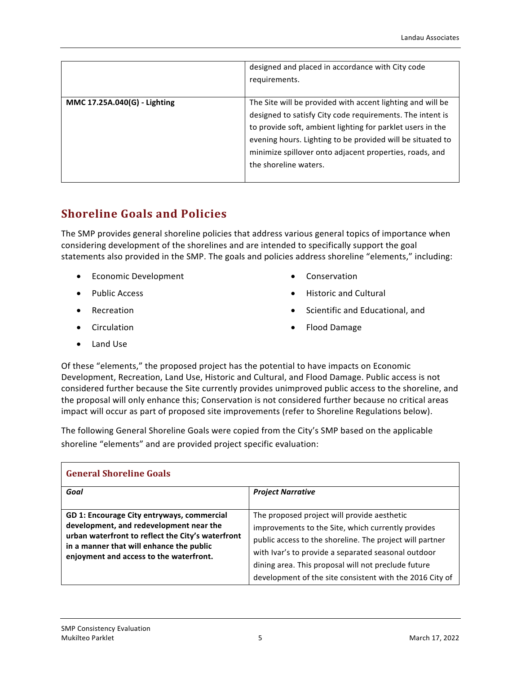|                              | designed and placed in accordance with City code<br>requirements.                                                                                                                                                                                                                                                                       |
|------------------------------|-----------------------------------------------------------------------------------------------------------------------------------------------------------------------------------------------------------------------------------------------------------------------------------------------------------------------------------------|
| MMC 17.25A.040(G) - Lighting | The Site will be provided with accent lighting and will be<br>designed to satisfy City code requirements. The intent is<br>to provide soft, ambient lighting for parklet users in the<br>evening hours. Lighting to be provided will be situated to<br>minimize spillover onto adjacent properties, roads, and<br>the shoreline waters. |

# **Shoreline Goals and Policies**

The SMP provides general shoreline policies that address various general topics of importance when considering development of the shorelines and are intended to specifically support the goal statements also provided in the SMP. The goals and policies address shoreline "elements," including:

- Economic Development
- Public Access
- Recreation
- Circulation
- Land Use
- Conservation
- Historic and Cultural
- Scientific and Educational, and
- Flood Damage

Of these "elements," the proposed project has the potential to have impacts on Economic Development, Recreation, Land Use, Historic and Cultural, and Flood Damage. Public access is not considered further because the Site currently provides unimproved public access to the shoreline, and the proposal will only enhance this; Conservation is not considered further because no critical areas impact will occur as part of proposed site improvements (refer to Shoreline Regulations below).

The following General Shoreline Goals were copied from the City's SMP based on the applicable shoreline "elements" and are provided project specific evaluation:

| <b>General Shoreline Goals</b>                                                                                                                                                                                                    |                                                                                                                                                                                                                                                                                                                                         |  |
|-----------------------------------------------------------------------------------------------------------------------------------------------------------------------------------------------------------------------------------|-----------------------------------------------------------------------------------------------------------------------------------------------------------------------------------------------------------------------------------------------------------------------------------------------------------------------------------------|--|
| Goal                                                                                                                                                                                                                              | <b>Project Narrative</b>                                                                                                                                                                                                                                                                                                                |  |
| GD 1: Encourage City entryways, commercial<br>development, and redevelopment near the<br>urban waterfront to reflect the City's waterfront<br>in a manner that will enhance the public<br>enjoyment and access to the waterfront. | The proposed project will provide aesthetic<br>improvements to the Site, which currently provides<br>public access to the shoreline. The project will partner<br>with Ivar's to provide a separated seasonal outdoor<br>dining area. This proposal will not preclude future<br>development of the site consistent with the 2016 City of |  |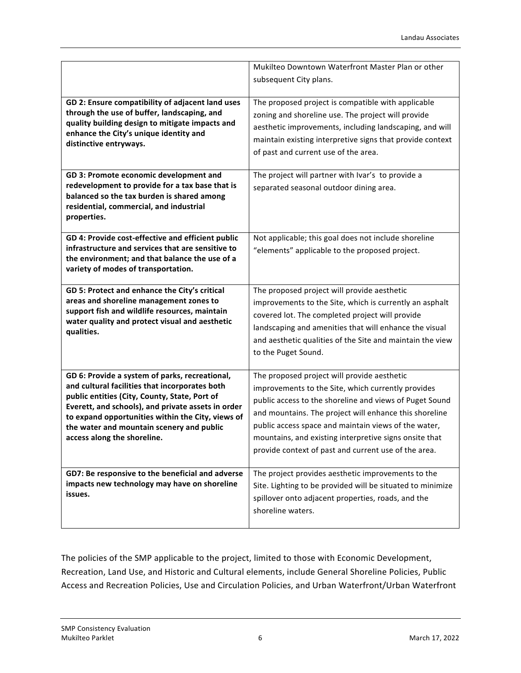|                                                                                                                                                    | Mukilteo Downtown Waterfront Master Plan or other                                                                                                                   |
|----------------------------------------------------------------------------------------------------------------------------------------------------|---------------------------------------------------------------------------------------------------------------------------------------------------------------------|
|                                                                                                                                                    |                                                                                                                                                                     |
|                                                                                                                                                    | subsequent City plans.                                                                                                                                              |
| GD 2: Ensure compatibility of adjacent land uses<br>through the use of buffer, landscaping, and<br>quality building design to mitigate impacts and | The proposed project is compatible with applicable<br>zoning and shoreline use. The project will provide<br>aesthetic improvements, including landscaping, and will |
| enhance the City's unique identity and                                                                                                             | maintain existing interpretive signs that provide context                                                                                                           |
| distinctive entryways.                                                                                                                             | of past and current use of the area.                                                                                                                                |
|                                                                                                                                                    |                                                                                                                                                                     |
| GD 3: Promote economic development and                                                                                                             | The project will partner with Ivar's to provide a                                                                                                                   |
| redevelopment to provide for a tax base that is                                                                                                    | separated seasonal outdoor dining area.                                                                                                                             |
| balanced so the tax burden is shared among                                                                                                         |                                                                                                                                                                     |
| residential, commercial, and industrial                                                                                                            |                                                                                                                                                                     |
| properties.                                                                                                                                        |                                                                                                                                                                     |
|                                                                                                                                                    |                                                                                                                                                                     |
| GD 4: Provide cost-effective and efficient public                                                                                                  | Not applicable; this goal does not include shoreline                                                                                                                |
| infrastructure and services that are sensitive to<br>the environment; and that balance the use of a                                                | "elements" applicable to the proposed project.                                                                                                                      |
| variety of modes of transportation.                                                                                                                |                                                                                                                                                                     |
|                                                                                                                                                    |                                                                                                                                                                     |
| GD 5: Protect and enhance the City's critical                                                                                                      | The proposed project will provide aesthetic                                                                                                                         |
| areas and shoreline management zones to                                                                                                            | improvements to the Site, which is currently an asphalt                                                                                                             |
| support fish and wildlife resources, maintain                                                                                                      | covered lot. The completed project will provide                                                                                                                     |
| water quality and protect visual and aesthetic                                                                                                     | landscaping and amenities that will enhance the visual                                                                                                              |
| qualities.                                                                                                                                         | and aesthetic qualities of the Site and maintain the view                                                                                                           |
|                                                                                                                                                    | to the Puget Sound.                                                                                                                                                 |
|                                                                                                                                                    |                                                                                                                                                                     |
| GD 6: Provide a system of parks, recreational,                                                                                                     | The proposed project will provide aesthetic                                                                                                                         |
| and cultural facilities that incorporates both                                                                                                     | improvements to the Site, which currently provides                                                                                                                  |
| public entities (City, County, State, Port of                                                                                                      | public access to the shoreline and views of Puget Sound                                                                                                             |
| Everett, and schools), and private assets in order                                                                                                 | and mountains. The project will enhance this shoreline                                                                                                              |
| to expand opportunities within the City, views of                                                                                                  | public access space and maintain views of the water,                                                                                                                |
| the water and mountain scenery and public<br>access along the shoreline.                                                                           | mountains, and existing interpretive signs onsite that                                                                                                              |
|                                                                                                                                                    |                                                                                                                                                                     |
|                                                                                                                                                    | provide context of past and current use of the area.                                                                                                                |
| GD7: Be responsive to the beneficial and adverse                                                                                                   |                                                                                                                                                                     |
|                                                                                                                                                    |                                                                                                                                                                     |
| impacts new technology may have on shoreline                                                                                                       | The project provides aesthetic improvements to the                                                                                                                  |
| issues.                                                                                                                                            | Site. Lighting to be provided will be situated to minimize                                                                                                          |
|                                                                                                                                                    | spillover onto adjacent properties, roads, and the<br>shoreline waters.                                                                                             |

The policies of the SMP applicable to the project, limited to those with Economic Development, Recreation, Land Use, and Historic and Cultural elements, include General Shoreline Policies, Public Access and Recreation Policies, Use and Circulation Policies, and Urban Waterfront/Urban Waterfront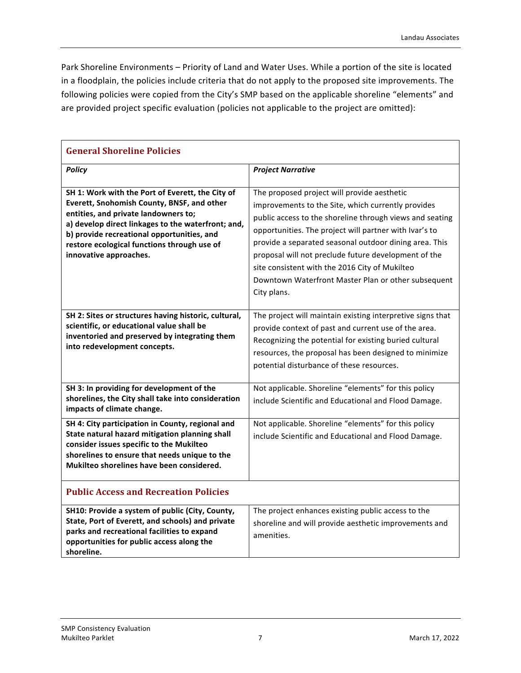Park Shoreline Environments – Priority of Land and Water Uses. While a portion of the site is located in a floodplain, the policies include criteria that do not apply to the proposed site improvements. The following policies were copied from the City's SMP based on the applicable shoreline "elements" and are provided project specific evaluation (policies not applicable to the project are omitted):

| <b>General Shoreline Policies</b>                                                                                                                                                                                                                                                                                   |                                                                                                                                                                                                                                                                                                                                                                                                                                                                   |  |
|---------------------------------------------------------------------------------------------------------------------------------------------------------------------------------------------------------------------------------------------------------------------------------------------------------------------|-------------------------------------------------------------------------------------------------------------------------------------------------------------------------------------------------------------------------------------------------------------------------------------------------------------------------------------------------------------------------------------------------------------------------------------------------------------------|--|
| <b>Policy</b>                                                                                                                                                                                                                                                                                                       | <b>Project Narrative</b>                                                                                                                                                                                                                                                                                                                                                                                                                                          |  |
| SH 1: Work with the Port of Everett, the City of<br>Everett, Snohomish County, BNSF, and other<br>entities, and private landowners to;<br>a) develop direct linkages to the waterfront; and,<br>b) provide recreational opportunities, and<br>restore ecological functions through use of<br>innovative approaches. | The proposed project will provide aesthetic<br>improvements to the Site, which currently provides<br>public access to the shoreline through views and seating<br>opportunities. The project will partner with Ivar's to<br>provide a separated seasonal outdoor dining area. This<br>proposal will not preclude future development of the<br>site consistent with the 2016 City of Mukilteo<br>Downtown Waterfront Master Plan or other subsequent<br>City plans. |  |
| SH 2: Sites or structures having historic, cultural,<br>scientific, or educational value shall be<br>inventoried and preserved by integrating them<br>into redevelopment concepts.                                                                                                                                  | The project will maintain existing interpretive signs that<br>provide context of past and current use of the area.<br>Recognizing the potential for existing buried cultural<br>resources, the proposal has been designed to minimize<br>potential disturbance of these resources.                                                                                                                                                                                |  |
| SH 3: In providing for development of the<br>shorelines, the City shall take into consideration<br>impacts of climate change.                                                                                                                                                                                       | Not applicable. Shoreline "elements" for this policy<br>include Scientific and Educational and Flood Damage.                                                                                                                                                                                                                                                                                                                                                      |  |
| SH 4: City participation in County, regional and<br>State natural hazard mitigation planning shall<br>consider issues specific to the Mukilteo<br>shorelines to ensure that needs unique to the<br>Mukilteo shorelines have been considered.                                                                        | Not applicable. Shoreline "elements" for this policy<br>include Scientific and Educational and Flood Damage.                                                                                                                                                                                                                                                                                                                                                      |  |
| <b>Public Access and Recreation Policies</b>                                                                                                                                                                                                                                                                        |                                                                                                                                                                                                                                                                                                                                                                                                                                                                   |  |
| SH10: Provide a system of public (City, County,<br>State, Port of Everett, and schools) and private<br>parks and recreational facilities to expand<br>opportunities for public access along the<br>shoreline.                                                                                                       | The project enhances existing public access to the<br>shoreline and will provide aesthetic improvements and<br>amenities.                                                                                                                                                                                                                                                                                                                                         |  |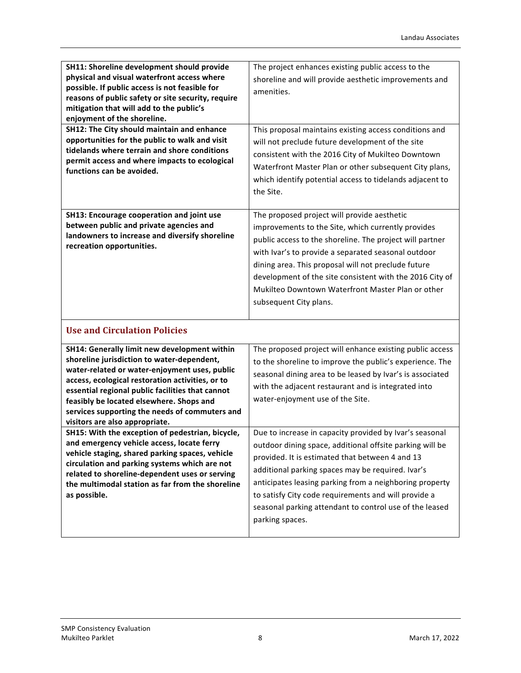| SH11: Shoreline development should provide<br>physical and visual waterfront access where<br>possible. If public access is not feasible for<br>reasons of public safety or site security, require<br>mitigation that will add to the public's<br>enjoyment of the shoreline.<br>SH12: The City should maintain and enhance<br>opportunities for the public to walk and visit<br>tidelands where terrain and shore conditions<br>permit access and where impacts to ecological<br>functions can be avoided. | The project enhances existing public access to the<br>shoreline and will provide aesthetic improvements and<br>amenities.<br>This proposal maintains existing access conditions and<br>will not preclude future development of the site<br>consistent with the 2016 City of Mukilteo Downtown<br>Waterfront Master Plan or other subsequent City plans,<br>which identify potential access to tidelands adjacent to<br>the Site. |
|------------------------------------------------------------------------------------------------------------------------------------------------------------------------------------------------------------------------------------------------------------------------------------------------------------------------------------------------------------------------------------------------------------------------------------------------------------------------------------------------------------|----------------------------------------------------------------------------------------------------------------------------------------------------------------------------------------------------------------------------------------------------------------------------------------------------------------------------------------------------------------------------------------------------------------------------------|
| SH13: Encourage cooperation and joint use<br>between public and private agencies and<br>landowners to increase and diversify shoreline<br>recreation opportunities.                                                                                                                                                                                                                                                                                                                                        | The proposed project will provide aesthetic<br>improvements to the Site, which currently provides<br>public access to the shoreline. The project will partner<br>with Ivar's to provide a separated seasonal outdoor<br>dining area. This proposal will not preclude future<br>development of the site consistent with the 2016 City of<br>Mukilteo Downtown Waterfront Master Plan or other<br>subsequent City plans.           |
| <b>Use and Circulation Policies</b>                                                                                                                                                                                                                                                                                                                                                                                                                                                                        |                                                                                                                                                                                                                                                                                                                                                                                                                                  |
| SH14: Generally limit new development within<br>shoreline jurisdiction to water-dependent,<br>water-related or water-enjoyment uses, public<br>access, ecological restoration activities, or to<br>essential regional public facilities that cannot<br>feasibly be located elsewhere. Shops and<br>services supporting the needs of commuters and<br>visitors are also appropriate.                                                                                                                        | The proposed project will enhance existing public access<br>to the shoreline to improve the public's experience. The<br>seasonal dining area to be leased by Ivar's is associated<br>with the adjacent restaurant and is integrated into<br>water-enjoyment use of the Site.                                                                                                                                                     |
| SH15: With the exception of pedestrian, bicycle,<br>and emergency vehicle access, locate ferry<br>vehicle staging, shared parking spaces, vehicle<br>circulation and parking systems which are not<br>related to shoreline-dependent uses or serving<br>the multimodal station as far from the shoreline<br>as possible.                                                                                                                                                                                   | Due to increase in capacity provided by Ivar's seasonal<br>outdoor dining space, additional offsite parking will be<br>provided. It is estimated that between 4 and 13<br>additional parking spaces may be required. Ivar's<br>anticipates leasing parking from a neighboring property<br>to satisfy City code requirements and will provide a<br>seasonal parking attendant to control use of the leased<br>parking spaces.     |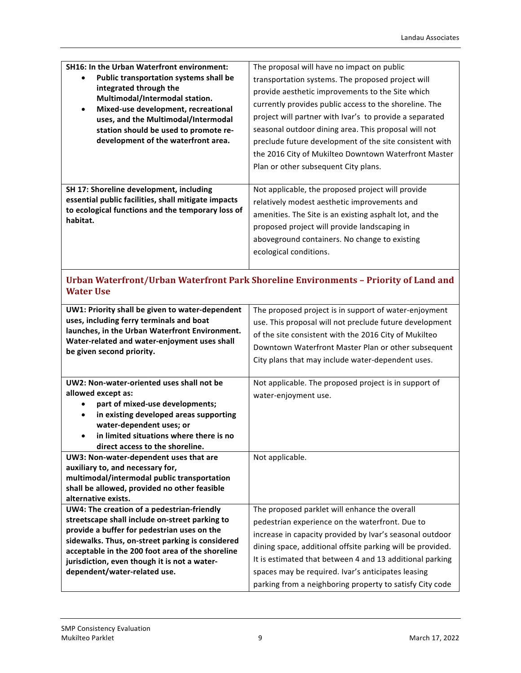| <b>SH16: In the Urban Waterfront environment:</b><br>Public transportation systems shall be<br>integrated through the<br>Multimodal/Intermodal station.<br>Mixed-use development, recreational<br>uses, and the Multimodal/Intermodal<br>station should be used to promote re-<br>development of the waterfront area. | The proposal will have no impact on public<br>transportation systems. The proposed project will<br>provide aesthetic improvements to the Site which<br>currently provides public access to the shoreline. The<br>project will partner with Ivar's to provide a separated<br>seasonal outdoor dining area. This proposal will not<br>preclude future development of the site consistent with<br>the 2016 City of Mukilteo Downtown Waterfront Master<br>Plan or other subsequent City plans. |
|-----------------------------------------------------------------------------------------------------------------------------------------------------------------------------------------------------------------------------------------------------------------------------------------------------------------------|---------------------------------------------------------------------------------------------------------------------------------------------------------------------------------------------------------------------------------------------------------------------------------------------------------------------------------------------------------------------------------------------------------------------------------------------------------------------------------------------|
| SH 17: Shoreline development, including<br>essential public facilities, shall mitigate impacts<br>to ecological functions and the temporary loss of<br>habitat.                                                                                                                                                       | Not applicable, the proposed project will provide<br>relatively modest aesthetic improvements and<br>amenities. The Site is an existing asphalt lot, and the<br>proposed project will provide landscaping in<br>aboveground containers. No change to existing<br>ecological conditions.                                                                                                                                                                                                     |

## **Urban Waterfront/Urban Waterfront Park Shoreline Environments – Priority of Land and Water Use**

| UW1: Priority shall be given to water-dependent<br>uses, including ferry terminals and boat<br>launches, in the Urban Waterfront Environment.<br>Water-related and water-enjoyment uses shall<br>be given second priority. | The proposed project is in support of water-enjoyment<br>use. This proposal will not preclude future development<br>of the site consistent with the 2016 City of Mukilteo<br>Downtown Waterfront Master Plan or other subsequent<br>City plans that may include water-dependent uses. |
|----------------------------------------------------------------------------------------------------------------------------------------------------------------------------------------------------------------------------|---------------------------------------------------------------------------------------------------------------------------------------------------------------------------------------------------------------------------------------------------------------------------------------|
|                                                                                                                                                                                                                            |                                                                                                                                                                                                                                                                                       |
| UW2: Non-water-oriented uses shall not be                                                                                                                                                                                  | Not applicable. The proposed project is in support of                                                                                                                                                                                                                                 |
| allowed except as:                                                                                                                                                                                                         | water-enjoyment use.                                                                                                                                                                                                                                                                  |
| part of mixed-use developments;                                                                                                                                                                                            |                                                                                                                                                                                                                                                                                       |
| in existing developed areas supporting<br>$\bullet$                                                                                                                                                                        |                                                                                                                                                                                                                                                                                       |
| water-dependent uses; or                                                                                                                                                                                                   |                                                                                                                                                                                                                                                                                       |
| in limited situations where there is no<br>$\bullet$                                                                                                                                                                       |                                                                                                                                                                                                                                                                                       |
| direct access to the shoreline.                                                                                                                                                                                            |                                                                                                                                                                                                                                                                                       |
| UW3: Non-water-dependent uses that are                                                                                                                                                                                     | Not applicable.                                                                                                                                                                                                                                                                       |
| auxiliary to, and necessary for,                                                                                                                                                                                           |                                                                                                                                                                                                                                                                                       |
| multimodal/intermodal public transportation                                                                                                                                                                                |                                                                                                                                                                                                                                                                                       |
| shall be allowed, provided no other feasible                                                                                                                                                                               |                                                                                                                                                                                                                                                                                       |
| alternative exists.                                                                                                                                                                                                        |                                                                                                                                                                                                                                                                                       |
| UW4: The creation of a pedestrian-friendly                                                                                                                                                                                 | The proposed parklet will enhance the overall                                                                                                                                                                                                                                         |
| streetscape shall include on-street parking to                                                                                                                                                                             | pedestrian experience on the waterfront. Due to                                                                                                                                                                                                                                       |
| provide a buffer for pedestrian uses on the                                                                                                                                                                                | increase in capacity provided by Ivar's seasonal outdoor                                                                                                                                                                                                                              |
| sidewalks. Thus, on-street parking is considered                                                                                                                                                                           | dining space, additional offsite parking will be provided.                                                                                                                                                                                                                            |
| acceptable in the 200 foot area of the shoreline<br>jurisdiction, even though it is not a water-                                                                                                                           | It is estimated that between 4 and 13 additional parking                                                                                                                                                                                                                              |
| dependent/water-related use.                                                                                                                                                                                               | spaces may be required. Ivar's anticipates leasing                                                                                                                                                                                                                                    |
|                                                                                                                                                                                                                            |                                                                                                                                                                                                                                                                                       |
|                                                                                                                                                                                                                            | parking from a neighboring property to satisfy City code                                                                                                                                                                                                                              |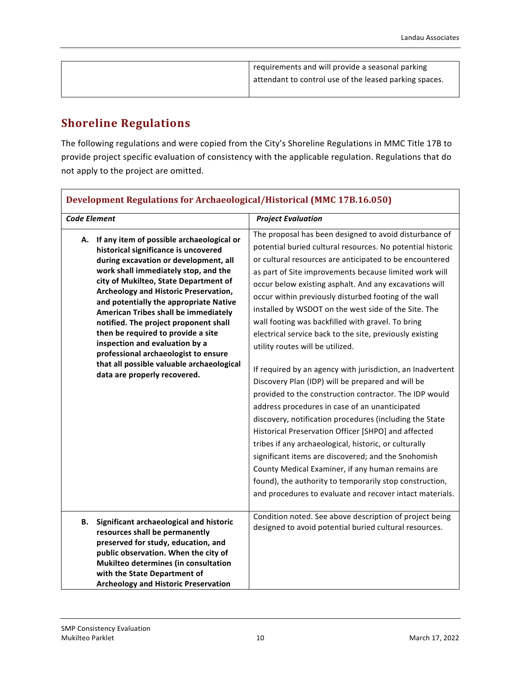| requirements and will provide a seasonal parking       |
|--------------------------------------------------------|
| attendant to control use of the leased parking spaces. |
|                                                        |

# **Shoreline Regulations**

The following regulations and were copied from the City's Shoreline Regulations in MMC Title 17B to provide project specific evaluation of consistency with the applicable regulation. Regulations that do not apply to the project are omitted.

| Development Regulations for Archaeological/Historical (MMC 17D.10.000) |                                                                                                                                                                                                                                                                                                                                                                                                                                                                                                                                                                              |                                                                                                                                                                                                                                                                                                                                                                                                                                                                                                                                                                                                                                                                                                                                                                                                                                                                                                                                                                                                                                                                                                                                                                                                                        |
|------------------------------------------------------------------------|------------------------------------------------------------------------------------------------------------------------------------------------------------------------------------------------------------------------------------------------------------------------------------------------------------------------------------------------------------------------------------------------------------------------------------------------------------------------------------------------------------------------------------------------------------------------------|------------------------------------------------------------------------------------------------------------------------------------------------------------------------------------------------------------------------------------------------------------------------------------------------------------------------------------------------------------------------------------------------------------------------------------------------------------------------------------------------------------------------------------------------------------------------------------------------------------------------------------------------------------------------------------------------------------------------------------------------------------------------------------------------------------------------------------------------------------------------------------------------------------------------------------------------------------------------------------------------------------------------------------------------------------------------------------------------------------------------------------------------------------------------------------------------------------------------|
| <b>Code Element</b>                                                    |                                                                                                                                                                                                                                                                                                                                                                                                                                                                                                                                                                              | <b>Project Evaluation</b>                                                                                                                                                                                                                                                                                                                                                                                                                                                                                                                                                                                                                                                                                                                                                                                                                                                                                                                                                                                                                                                                                                                                                                                              |
| А.                                                                     | If any item of possible archaeological or<br>historical significance is uncovered<br>during excavation or development, all<br>work shall immediately stop, and the<br>city of Mukilteo, State Department of<br>Archeology and Historic Preservation,<br>and potentially the appropriate Native<br>American Tribes shall be immediately<br>notified. The project proponent shall<br>then be required to provide a site<br>inspection and evaluation by a<br>professional archaeologist to ensure<br>that all possible valuable archaeological<br>data are properly recovered. | The proposal has been designed to avoid disturbance of<br>potential buried cultural resources. No potential historic<br>or cultural resources are anticipated to be encountered<br>as part of Site improvements because limited work will<br>occur below existing asphalt. And any excavations will<br>occur within previously disturbed footing of the wall<br>installed by WSDOT on the west side of the Site. The<br>wall footing was backfilled with gravel. To bring<br>electrical service back to the site, previously existing<br>utility routes will be utilized.<br>If required by an agency with jurisdiction, an Inadvertent<br>Discovery Plan (IDP) will be prepared and will be<br>provided to the construction contractor. The IDP would<br>address procedures in case of an unanticipated<br>discovery, notification procedures (including the State<br>Historical Preservation Officer [SHPO] and affected<br>tribes if any archaeological, historic, or culturally<br>significant items are discovered; and the Snohomish<br>County Medical Examiner, if any human remains are<br>found), the authority to temporarily stop construction,<br>and procedures to evaluate and recover intact materials. |
| В.                                                                     | Significant archaeological and historic<br>resources shall be permanently<br>preserved for study, education, and<br>public observation. When the city of<br>Mukilteo determines (in consultation<br>with the State Department of<br><b>Archeology and Historic Preservation</b>                                                                                                                                                                                                                                                                                              | Condition noted. See above description of project being<br>designed to avoid potential buried cultural resources.                                                                                                                                                                                                                                                                                                                                                                                                                                                                                                                                                                                                                                                                                                                                                                                                                                                                                                                                                                                                                                                                                                      |

# **Development Regulations for Archaeological/Historical (MMC 17B.16.050)**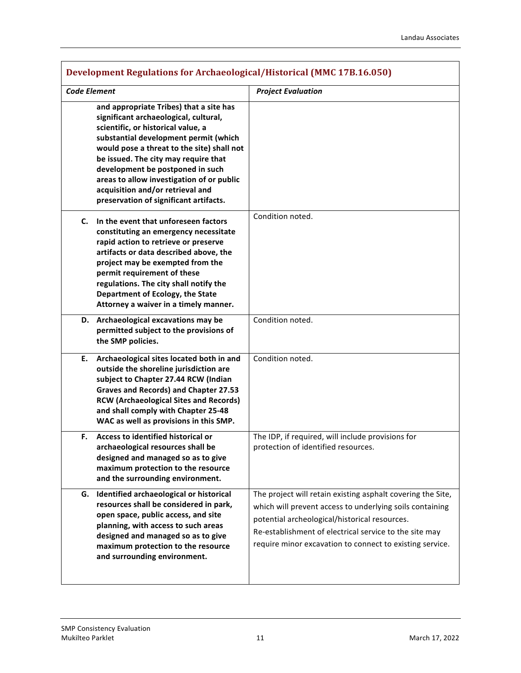| Development Regulations for Archaeological/Historical (MMC 17D.10.050)                                                                                                                                                                                                                                                                                                                                               |                                                                                                                                                                                                                                                                                                |  |
|----------------------------------------------------------------------------------------------------------------------------------------------------------------------------------------------------------------------------------------------------------------------------------------------------------------------------------------------------------------------------------------------------------------------|------------------------------------------------------------------------------------------------------------------------------------------------------------------------------------------------------------------------------------------------------------------------------------------------|--|
| <b>Code Element</b>                                                                                                                                                                                                                                                                                                                                                                                                  | <b>Project Evaluation</b>                                                                                                                                                                                                                                                                      |  |
| and appropriate Tribes) that a site has<br>significant archaeological, cultural,<br>scientific, or historical value, a<br>substantial development permit (which<br>would pose a threat to the site) shall not<br>be issued. The city may require that<br>development be postponed in such<br>areas to allow investigation of or public<br>acquisition and/or retrieval and<br>preservation of significant artifacts. |                                                                                                                                                                                                                                                                                                |  |
| In the event that unforeseen factors<br>C.<br>constituting an emergency necessitate<br>rapid action to retrieve or preserve<br>artifacts or data described above, the<br>project may be exempted from the<br>permit requirement of these<br>regulations. The city shall notify the<br>Department of Ecology, the State<br>Attorney a waiver in a timely manner.                                                      | Condition noted.                                                                                                                                                                                                                                                                               |  |
| D. Archaeological excavations may be<br>permitted subject to the provisions of<br>the SMP policies.                                                                                                                                                                                                                                                                                                                  | Condition noted.                                                                                                                                                                                                                                                                               |  |
| Archaeological sites located both in and<br>Е.<br>outside the shoreline jurisdiction are<br>subject to Chapter 27.44 RCW (Indian<br>Graves and Records) and Chapter 27.53<br><b>RCW (Archaeological Sites and Records)</b><br>and shall comply with Chapter 25-48<br>WAC as well as provisions in this SMP.                                                                                                          | Condition noted.                                                                                                                                                                                                                                                                               |  |
| Access to identified historical or<br>F.<br>archaeological resources shall be<br>designed and managed so as to give<br>maximum protection to the resource<br>and the surrounding environment.                                                                                                                                                                                                                        | The IDP, if required, will include provisions for<br>protection of identified resources.                                                                                                                                                                                                       |  |
| Identified archaeological or historical<br>G.<br>resources shall be considered in park,<br>open space, public access, and site<br>planning, with access to such areas<br>designed and managed so as to give<br>maximum protection to the resource<br>and surrounding environment.                                                                                                                                    | The project will retain existing asphalt covering the Site,<br>which will prevent access to underlying soils containing<br>potential archeological/historical resources.<br>Re-establishment of electrical service to the site may<br>require minor excavation to connect to existing service. |  |

# **Development Regulations for Archaeological/Historical (MMC 17B.16.050)**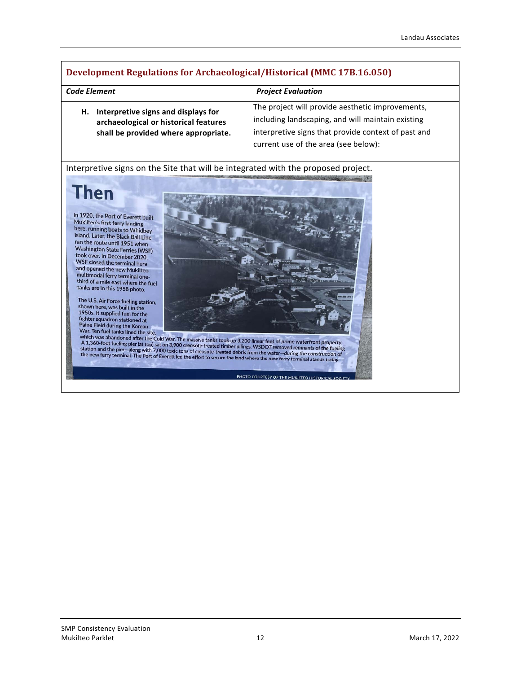## **Development Regulations for Archaeological/Historical (MMC 17B.16.050)**

| <b>Code Element</b>                   | <b>Project Evaluation</b>                           |
|---------------------------------------|-----------------------------------------------------|
| Interpretive signs and displays for   | The project will provide aesthetic improvements,    |
| Н.                                    | including landscaping, and will maintain existing   |
| archaeological or historical features | interpretive signs that provide context of past and |
| shall be provided where appropriate.  | current use of the area (see below):                |

Interpretive signs on the Site that will be integrated with the proposed project.

# **Then**

In 1920, the Port of Everett built Mukilteo's first ferry landing here, running boats to Whidbey There, running boats to Whidbey<br>Island. Later, the Black Ball Line<br>ran the route until 1951 when<br>Washington State Fee Vashington State Ferries (WSF) took over. In December 2020, WSF closed the terminal here and opened the new Mukilteo multimodal ferry terminal onematemoual verry terminal one-<br>third of a mile east where the fuel<br>tanks are in this 1958 photo.

The U.S. Air Force fueling station,<br>shown here, was built in the<br>1950s. It supplied fuel for the 1750s. It supplied ruel for the<br>fighter squadron stationed at<br>Paine Field during the Korean<br>War. Ten fuel tanks lined the site,



PHOTO COURTESY OF THE MUKILTEO HISTORICAL

War. Ien fuel tanks lined the site,<br>which was abandoned after the Cold War. The massive tanks took up 3,200 linear feet of prime waterfront property.<br>A 1,360-foot fueling pier (at top) sat on 3,900 creosote-treated timber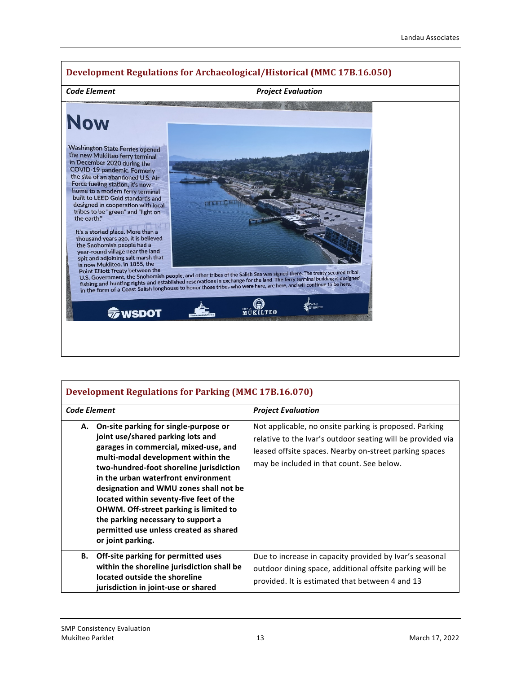

## **Development Regulations for Parking (MMC 17B.16.070)**

| <b>Code Element</b>                                                                                                                                                                                                                                                                                                                                                                                                                                                                          | <b>Project Evaluation</b>                                                                                                                                                                                                    |
|----------------------------------------------------------------------------------------------------------------------------------------------------------------------------------------------------------------------------------------------------------------------------------------------------------------------------------------------------------------------------------------------------------------------------------------------------------------------------------------------|------------------------------------------------------------------------------------------------------------------------------------------------------------------------------------------------------------------------------|
| On-site parking for single-purpose or<br>А.<br>joint use/shared parking lots and<br>garages in commercial, mixed-use, and<br>multi-modal development within the<br>two-hundred-foot shoreline jurisdiction<br>in the urban waterfront environment<br>designation and WMU zones shall not be<br>located within seventy-five feet of the<br><b>OHWM. Off-street parking is limited to</b><br>the parking necessary to support a<br>permitted use unless created as shared<br>or joint parking. | Not applicable, no onsite parking is proposed. Parking<br>relative to the Ivar's outdoor seating will be provided via<br>leased offsite spaces. Nearby on-street parking spaces<br>may be included in that count. See below. |
| Off-site parking for permitted uses<br>В.<br>within the shoreline jurisdiction shall be<br>located outside the shoreline<br>jurisdiction in joint-use or shared                                                                                                                                                                                                                                                                                                                              | Due to increase in capacity provided by Ivar's seasonal<br>outdoor dining space, additional offsite parking will be<br>provided. It is estimated that between 4 and 13                                                       |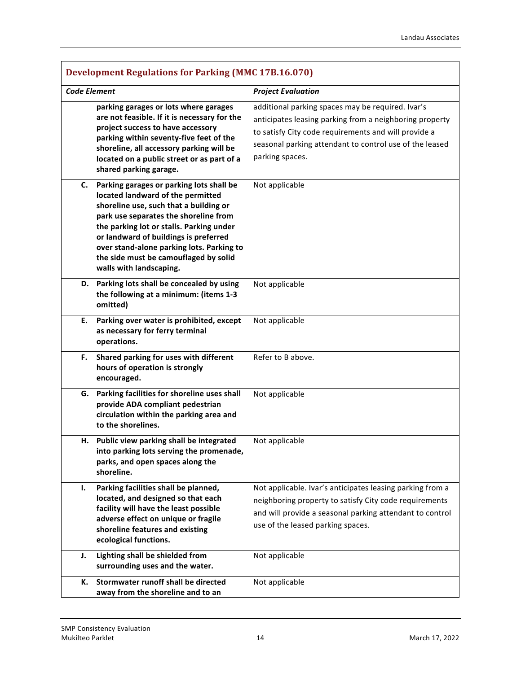| Development Regulations for Parking (MMC 17B.16.070) |                                                                                                                                                                                                                                                                                                                                                                        |                                                                                                                                                                                                                                                    |
|------------------------------------------------------|------------------------------------------------------------------------------------------------------------------------------------------------------------------------------------------------------------------------------------------------------------------------------------------------------------------------------------------------------------------------|----------------------------------------------------------------------------------------------------------------------------------------------------------------------------------------------------------------------------------------------------|
| <b>Code Element</b>                                  |                                                                                                                                                                                                                                                                                                                                                                        | <b>Project Evaluation</b>                                                                                                                                                                                                                          |
|                                                      | parking garages or lots where garages<br>are not feasible. If it is necessary for the<br>project success to have accessory<br>parking within seventy-five feet of the<br>shoreline, all accessory parking will be<br>located on a public street or as part of a<br>shared parking garage.                                                                              | additional parking spaces may be required. Ivar's<br>anticipates leasing parking from a neighboring property<br>to satisfy City code requirements and will provide a<br>seasonal parking attendant to control use of the leased<br>parking spaces. |
| C.                                                   | Parking garages or parking lots shall be<br>located landward of the permitted<br>shoreline use, such that a building or<br>park use separates the shoreline from<br>the parking lot or stalls. Parking under<br>or landward of buildings is preferred<br>over stand-alone parking lots. Parking to<br>the side must be camouflaged by solid<br>walls with landscaping. | Not applicable                                                                                                                                                                                                                                     |
|                                                      | D. Parking lots shall be concealed by using<br>the following at a minimum: (items 1-3<br>omitted)                                                                                                                                                                                                                                                                      | Not applicable                                                                                                                                                                                                                                     |
| Ε.                                                   | Parking over water is prohibited, except<br>as necessary for ferry terminal<br>operations.                                                                                                                                                                                                                                                                             | Not applicable                                                                                                                                                                                                                                     |
| F.                                                   | Shared parking for uses with different<br>hours of operation is strongly<br>encouraged.                                                                                                                                                                                                                                                                                | Refer to B above.                                                                                                                                                                                                                                  |
| G.                                                   | Parking facilities for shoreline uses shall<br>provide ADA compliant pedestrian<br>circulation within the parking area and<br>to the shorelines.                                                                                                                                                                                                                       | Not applicable                                                                                                                                                                                                                                     |
| н.                                                   | Public view parking shall be integrated<br>into parking lots serving the promenade,<br>parks, and open spaces along the<br>shoreline.                                                                                                                                                                                                                                  | Not applicable                                                                                                                                                                                                                                     |
| Ι.                                                   | Parking facilities shall be planned,<br>located, and designed so that each<br>facility will have the least possible<br>adverse effect on unique or fragile<br>shoreline features and existing<br>ecological functions.                                                                                                                                                 | Not applicable. Ivar's anticipates leasing parking from a<br>neighboring property to satisfy City code requirements<br>and will provide a seasonal parking attendant to control<br>use of the leased parking spaces.                               |
| J.                                                   | Lighting shall be shielded from<br>surrounding uses and the water.                                                                                                                                                                                                                                                                                                     | Not applicable                                                                                                                                                                                                                                     |
| К.                                                   | Stormwater runoff shall be directed<br>away from the shoreline and to an                                                                                                                                                                                                                                                                                               | Not applicable                                                                                                                                                                                                                                     |

# **Development Regulations for Parking (MMC 17B.16.070)**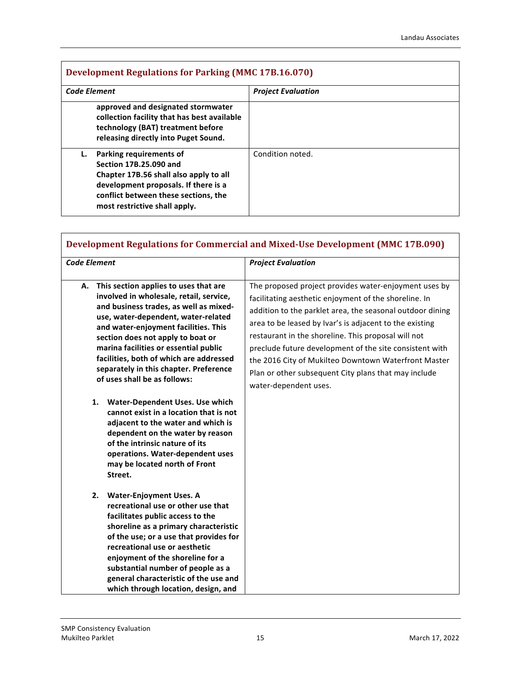| <b>Development Regulations for Parking (MMC 17B.16.070)</b> |                                                                                                                                                                                                              |                           |
|-------------------------------------------------------------|--------------------------------------------------------------------------------------------------------------------------------------------------------------------------------------------------------------|---------------------------|
| <b>Code Element</b>                                         |                                                                                                                                                                                                              | <b>Project Evaluation</b> |
|                                                             | approved and designated stormwater<br>collection facility that has best available<br>technology (BAT) treatment before<br>releasing directly into Puget Sound.                                               |                           |
|                                                             | Parking requirements of<br>Section 17B.25.090 and<br>Chapter 17B.56 shall also apply to all<br>development proposals. If there is a<br>conflict between these sections, the<br>most restrictive shall apply. | Condition noted.          |

| <b>Development Regulations for Commercial and Mixed-Use Development (MMC 17B.090)</b>                                                                                                                                                                                                                                                                                                                              |                                                                                                                                                                                                                                                                                                                                                                                                                                                                                                   |  |
|--------------------------------------------------------------------------------------------------------------------------------------------------------------------------------------------------------------------------------------------------------------------------------------------------------------------------------------------------------------------------------------------------------------------|---------------------------------------------------------------------------------------------------------------------------------------------------------------------------------------------------------------------------------------------------------------------------------------------------------------------------------------------------------------------------------------------------------------------------------------------------------------------------------------------------|--|
| <b>Code Element</b>                                                                                                                                                                                                                                                                                                                                                                                                | <b>Project Evaluation</b>                                                                                                                                                                                                                                                                                                                                                                                                                                                                         |  |
| This section applies to uses that are<br>А.<br>involved in wholesale, retail, service,<br>and business trades, as well as mixed-<br>use, water-dependent, water-related<br>and water-enjoyment facilities. This<br>section does not apply to boat or<br>marina facilities or essential public<br>facilities, both of which are addressed<br>separately in this chapter. Preference<br>of uses shall be as follows: | The proposed project provides water-enjoyment uses by<br>facilitating aesthetic enjoyment of the shoreline. In<br>addition to the parklet area, the seasonal outdoor dining<br>area to be leased by Ivar's is adjacent to the existing<br>restaurant in the shoreline. This proposal will not<br>preclude future development of the site consistent with<br>the 2016 City of Mukilteo Downtown Waterfront Master<br>Plan or other subsequent City plans that may include<br>water-dependent uses. |  |
| Water-Dependent Uses. Use which<br>1.<br>cannot exist in a location that is not<br>adjacent to the water and which is<br>dependent on the water by reason<br>of the intrinsic nature of its<br>operations. Water-dependent uses<br>may be located north of Front<br>Street.                                                                                                                                        |                                                                                                                                                                                                                                                                                                                                                                                                                                                                                                   |  |
| <b>Water-Enjoyment Uses. A</b><br>2.<br>recreational use or other use that<br>facilitates public access to the<br>shoreline as a primary characteristic<br>of the use; or a use that provides for<br>recreational use or aesthetic<br>enjoyment of the shoreline for a<br>substantial number of people as a<br>general characteristic of the use and<br>which through location, design, and                        |                                                                                                                                                                                                                                                                                                                                                                                                                                                                                                   |  |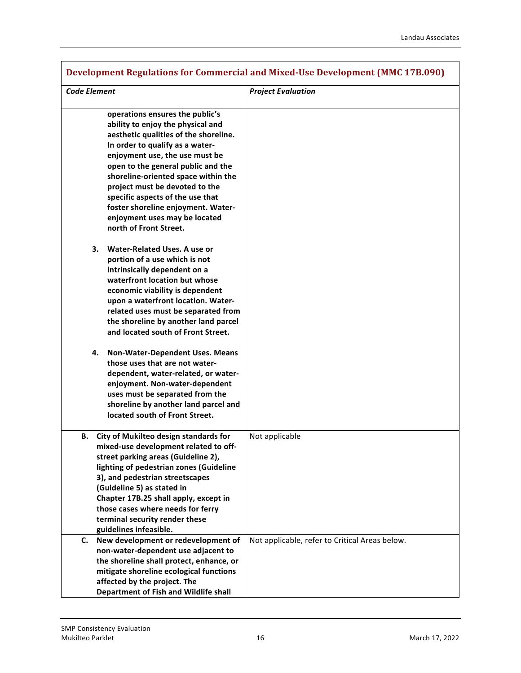| <b>Development Regulations for Commercial and Mixed-Use Development (MMC 17B.090)</b>                                                                                                                                                                                                                                                                                                                                                  |                                                |  |
|----------------------------------------------------------------------------------------------------------------------------------------------------------------------------------------------------------------------------------------------------------------------------------------------------------------------------------------------------------------------------------------------------------------------------------------|------------------------------------------------|--|
| <b>Code Element</b>                                                                                                                                                                                                                                                                                                                                                                                                                    | <b>Project Evaluation</b>                      |  |
| operations ensures the public's<br>ability to enjoy the physical and<br>aesthetic qualities of the shoreline.<br>In order to qualify as a water-<br>enjoyment use, the use must be<br>open to the general public and the<br>shoreline-oriented space within the<br>project must be devoted to the<br>specific aspects of the use that<br>foster shoreline enjoyment. Water-<br>enjoyment uses may be located<br>north of Front Street. |                                                |  |
| Water-Related Uses. A use or<br>3.<br>portion of a use which is not<br>intrinsically dependent on a<br>waterfront location but whose<br>economic viability is dependent<br>upon a waterfront location. Water-<br>related uses must be separated from<br>the shoreline by another land parcel<br>and located south of Front Street.                                                                                                     |                                                |  |
| Non-Water-Dependent Uses. Means<br>4.<br>those uses that are not water-<br>dependent, water-related, or water-<br>enjoyment. Non-water-dependent<br>uses must be separated from the<br>shoreline by another land parcel and<br>located south of Front Street.                                                                                                                                                                          |                                                |  |
| City of Mukilteo design standards for<br>В.<br>mixed-use development related to off-<br>street parking areas (Guideline 2),<br>lighting of pedestrian zones (Guideline<br>3), and pedestrian streetscapes<br>(Guideline 5) as stated in<br>Chapter 17B.25 shall apply, except in<br>those cases where needs for ferry<br>terminal security render these<br>guidelines infeasible.                                                      | Not applicable                                 |  |
| New development or redevelopment of<br>C.<br>non-water-dependent use adjacent to<br>the shoreline shall protect, enhance, or<br>mitigate shoreline ecological functions<br>affected by the project. The<br>Department of Fish and Wildlife shall                                                                                                                                                                                       | Not applicable, refer to Critical Areas below. |  |

Г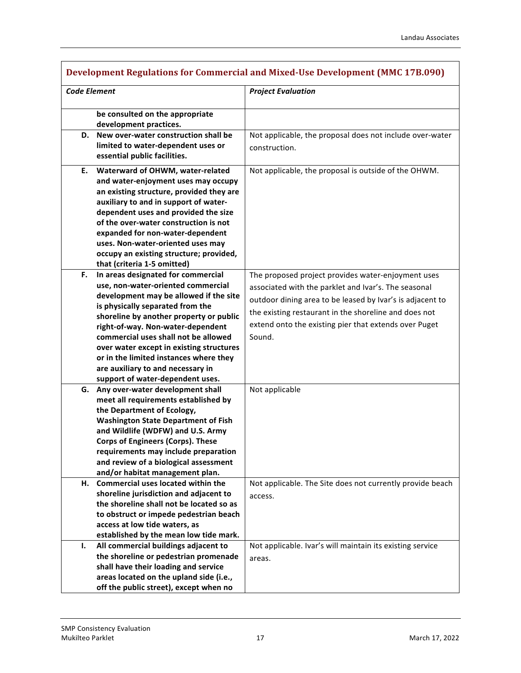| <b>Development Regulations for Commercial and Mixed-Use Development (MMC 17B.090)</b> |                                                                                  |                                                           |
|---------------------------------------------------------------------------------------|----------------------------------------------------------------------------------|-----------------------------------------------------------|
| <b>Code Element</b>                                                                   |                                                                                  | <b>Project Evaluation</b>                                 |
|                                                                                       |                                                                                  |                                                           |
|                                                                                       | be consulted on the appropriate<br>development practices.                        |                                                           |
| D.                                                                                    | New over-water construction shall be                                             | Not applicable, the proposal does not include over-water  |
|                                                                                       | limited to water-dependent uses or                                               | construction.                                             |
|                                                                                       | essential public facilities.                                                     |                                                           |
| Е.                                                                                    | Waterward of OHWM, water-related                                                 | Not applicable, the proposal is outside of the OHWM.      |
|                                                                                       | and water-enjoyment uses may occupy                                              |                                                           |
|                                                                                       | an existing structure, provided they are                                         |                                                           |
|                                                                                       | auxiliary to and in support of water-                                            |                                                           |
|                                                                                       | dependent uses and provided the size                                             |                                                           |
|                                                                                       | of the over-water construction is not                                            |                                                           |
|                                                                                       | expanded for non-water-dependent                                                 |                                                           |
|                                                                                       | uses. Non-water-oriented uses may                                                |                                                           |
|                                                                                       | occupy an existing structure; provided,                                          |                                                           |
|                                                                                       | that (criteria 1-5 omitted)                                                      |                                                           |
| F.                                                                                    | In areas designated for commercial                                               | The proposed project provides water-enjoyment uses        |
|                                                                                       | use, non-water-oriented commercial                                               | associated with the parklet and Ivar's. The seasonal      |
|                                                                                       | development may be allowed if the site                                           | outdoor dining area to be leased by Ivar's is adjacent to |
|                                                                                       | is physically separated from the                                                 | the existing restaurant in the shoreline and does not     |
|                                                                                       | shoreline by another property or public                                          | extend onto the existing pier that extends over Puget     |
|                                                                                       | right-of-way. Non-water-dependent                                                |                                                           |
|                                                                                       | commercial uses shall not be allowed<br>over water except in existing structures | Sound.                                                    |
|                                                                                       | or in the limited instances where they                                           |                                                           |
|                                                                                       | are auxiliary to and necessary in                                                |                                                           |
|                                                                                       | support of water-dependent uses.                                                 |                                                           |
| G.                                                                                    | Any over-water development shall                                                 | Not applicable                                            |
|                                                                                       | meet all requirements established by                                             |                                                           |
|                                                                                       | the Department of Ecology,                                                       |                                                           |
|                                                                                       | <b>Washington State Department of Fish</b>                                       |                                                           |
|                                                                                       | and Wildlife (WDFW) and U.S. Army                                                |                                                           |
|                                                                                       | <b>Corps of Engineers (Corps). These</b>                                         |                                                           |
|                                                                                       | requirements may include preparation                                             |                                                           |
|                                                                                       | and review of a biological assessment                                            |                                                           |
|                                                                                       | and/or habitat management plan.                                                  |                                                           |
| Н.                                                                                    | Commercial uses located within the                                               | Not applicable. The Site does not currently provide beach |
|                                                                                       | shoreline jurisdiction and adjacent to                                           | access.                                                   |
|                                                                                       | the shoreline shall not be located so as                                         |                                                           |
|                                                                                       | to obstruct or impede pedestrian beach                                           |                                                           |
|                                                                                       | access at low tide waters, as                                                    |                                                           |
|                                                                                       | established by the mean low tide mark.                                           |                                                           |
| ı.                                                                                    | All commercial buildings adjacent to<br>the shoreline or pedestrian promenade    | Not applicable. Ivar's will maintain its existing service |
|                                                                                       | shall have their loading and service                                             | areas.                                                    |
|                                                                                       | areas located on the upland side (i.e.,                                          |                                                           |
|                                                                                       | off the public street), except when no                                           |                                                           |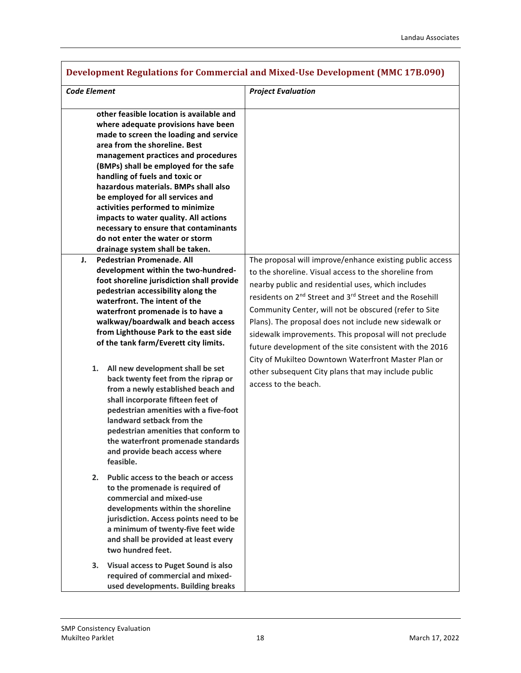$\overline{\phantom{a}}$ 

| Development Regulations for Commercial and Mixed-Use Development (MMC 17B.090)                                                                                                                                                                                                                                                                                                                                                                                                                                                                                                                                                                                                                                                                                                                                                                                                                                                                                                                                                                                                                                                                                                                                                                                                                                                                                                                                                                                                                                                                                                                                                                                                 |                                                                                                                                                                                                                                                                                                                                                                                                                                                                                                                                                                                                                                         |  |  |
|--------------------------------------------------------------------------------------------------------------------------------------------------------------------------------------------------------------------------------------------------------------------------------------------------------------------------------------------------------------------------------------------------------------------------------------------------------------------------------------------------------------------------------------------------------------------------------------------------------------------------------------------------------------------------------------------------------------------------------------------------------------------------------------------------------------------------------------------------------------------------------------------------------------------------------------------------------------------------------------------------------------------------------------------------------------------------------------------------------------------------------------------------------------------------------------------------------------------------------------------------------------------------------------------------------------------------------------------------------------------------------------------------------------------------------------------------------------------------------------------------------------------------------------------------------------------------------------------------------------------------------------------------------------------------------|-----------------------------------------------------------------------------------------------------------------------------------------------------------------------------------------------------------------------------------------------------------------------------------------------------------------------------------------------------------------------------------------------------------------------------------------------------------------------------------------------------------------------------------------------------------------------------------------------------------------------------------------|--|--|
| <b>Code Element</b>                                                                                                                                                                                                                                                                                                                                                                                                                                                                                                                                                                                                                                                                                                                                                                                                                                                                                                                                                                                                                                                                                                                                                                                                                                                                                                                                                                                                                                                                                                                                                                                                                                                            | <b>Project Evaluation</b>                                                                                                                                                                                                                                                                                                                                                                                                                                                                                                                                                                                                               |  |  |
| other feasible location is available and<br>where adequate provisions have been<br>made to screen the loading and service<br>area from the shoreline. Best<br>management practices and procedures<br>(BMPs) shall be employed for the safe<br>handling of fuels and toxic or<br>hazardous materials. BMPs shall also<br>be employed for all services and<br>activities performed to minimize<br>impacts to water quality. All actions<br>necessary to ensure that contaminants<br>do not enter the water or storm<br>drainage system shall be taken.<br><b>Pedestrian Promenade. All</b><br>J.<br>development within the two-hundred-<br>foot shoreline jurisdiction shall provide<br>pedestrian accessibility along the<br>waterfront. The intent of the<br>waterfront promenade is to have a<br>walkway/boardwalk and beach access<br>from Lighthouse Park to the east side<br>of the tank farm/Everett city limits.<br>All new development shall be set<br>1.<br>back twenty feet from the riprap or<br>from a newly established beach and<br>shall incorporate fifteen feet of<br>pedestrian amenities with a five-foot<br>landward setback from the<br>pedestrian amenities that conform to<br>the waterfront promenade standards<br>and provide beach access where<br>feasible.<br>2.<br>Public access to the beach or access<br>to the promenade is required of<br>commercial and mixed-use<br>developments within the shoreline<br>jurisdiction. Access points need to be<br>a minimum of twenty-five feet wide<br>and shall be provided at least every<br>two hundred feet.<br><b>Visual access to Puget Sound is also</b><br>3.<br>required of commercial and mixed- | The proposal will improve/enhance existing public access<br>to the shoreline. Visual access to the shoreline from<br>nearby public and residential uses, which includes<br>residents on 2 <sup>nd</sup> Street and 3 <sup>rd</sup> Street and the Rosehill<br>Community Center, will not be obscured (refer to Site<br>Plans). The proposal does not include new sidewalk or<br>sidewalk improvements. This proposal will not preclude<br>future development of the site consistent with the 2016<br>City of Mukilteo Downtown Waterfront Master Plan or<br>other subsequent City plans that may include public<br>access to the beach. |  |  |
| used developments. Building breaks                                                                                                                                                                                                                                                                                                                                                                                                                                                                                                                                                                                                                                                                                                                                                                                                                                                                                                                                                                                                                                                                                                                                                                                                                                                                                                                                                                                                                                                                                                                                                                                                                                             |                                                                                                                                                                                                                                                                                                                                                                                                                                                                                                                                                                                                                                         |  |  |

# **Development Regulations for Commercial and Mixed-Use Development (MMC 17B.090)**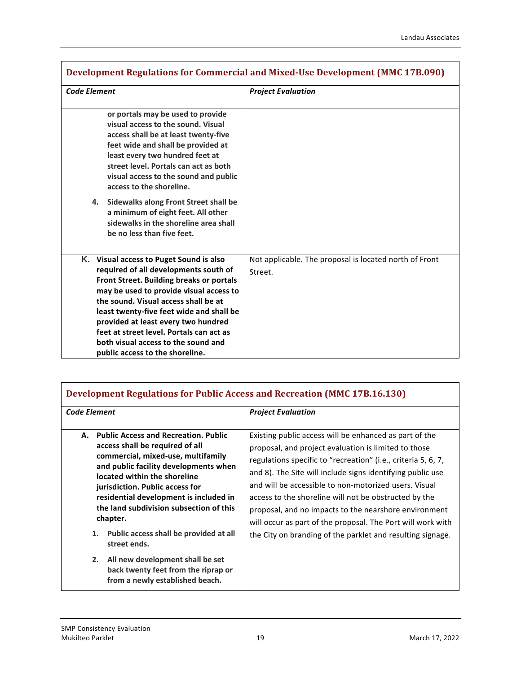$\overline{\phantom{a}}$ 

| Development Regulations for Commercial and Mixed-Use Development (MMC 17B.090)                                                                                                                                                                                                                                                                                                                                                                                     |                                                                   |  |
|--------------------------------------------------------------------------------------------------------------------------------------------------------------------------------------------------------------------------------------------------------------------------------------------------------------------------------------------------------------------------------------------------------------------------------------------------------------------|-------------------------------------------------------------------|--|
| <b>Code Element</b>                                                                                                                                                                                                                                                                                                                                                                                                                                                | <b>Project Evaluation</b>                                         |  |
| or portals may be used to provide<br>visual access to the sound. Visual<br>access shall be at least twenty-five<br>feet wide and shall be provided at<br>least every two hundred feet at<br>street level. Portals can act as both<br>visual access to the sound and public<br>access to the shoreline.<br>Sidewalks along Front Street shall be<br>4.<br>a minimum of eight feet. All other<br>sidewalks in the shoreline area shall<br>be no less than five feet. |                                                                   |  |
| K. Visual access to Puget Sound is also<br>required of all developments south of<br>Front Street. Building breaks or portals<br>may be used to provide visual access to<br>the sound. Visual access shall be at<br>least twenty-five feet wide and shall be<br>provided at least every two hundred<br>feet at street level. Portals can act as<br>both visual access to the sound and<br>public access to the shoreline.                                           | Not applicable. The proposal is located north of Front<br>Street. |  |

| <b>Code Element</b> |                                                                                                                                                                  | <b>Project Evaluation</b>                                                                                                                                                                                                                                                                            |
|---------------------|------------------------------------------------------------------------------------------------------------------------------------------------------------------|------------------------------------------------------------------------------------------------------------------------------------------------------------------------------------------------------------------------------------------------------------------------------------------------------|
| А.                  | <b>Public Access and Recreation. Public</b><br>access shall be required of all<br>commercial, mixed-use, multifamily<br>and public facility developments when    | Existing public access will be enhanced as part of the<br>proposal, and project evaluation is limited to those<br>regulations specific to "recreation" (i.e., criteria 5, 6, 7,                                                                                                                      |
|                     | located within the shoreline<br>jurisdiction. Public access for<br>residential development is included in<br>the land subdivision subsection of this<br>chapter. | and 8). The Site will include signs identifying public use<br>and will be accessible to non-motorized users. Visual<br>access to the shoreline will not be obstructed by the<br>proposal, and no impacts to the nearshore environment<br>will occur as part of the proposal. The Port will work with |
|                     | 1.<br>Public access shall be provided at all<br>street ends.                                                                                                     | the City on branding of the parklet and resulting signage.                                                                                                                                                                                                                                           |
|                     | 2.<br>All new development shall be set<br>back twenty feet from the riprap or<br>from a newly established beach.                                                 |                                                                                                                                                                                                                                                                                                      |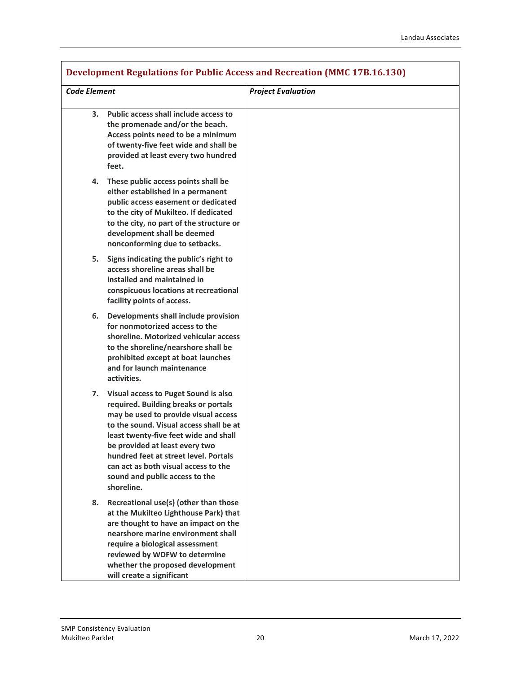| Development Regulations for Public Access and Recreation (MMC 17B.16.130) |                                                                                                                                                                                                                                                                                                                                                                             |                           |
|---------------------------------------------------------------------------|-----------------------------------------------------------------------------------------------------------------------------------------------------------------------------------------------------------------------------------------------------------------------------------------------------------------------------------------------------------------------------|---------------------------|
| <b>Code Element</b>                                                       |                                                                                                                                                                                                                                                                                                                                                                             | <b>Project Evaluation</b> |
| 3.                                                                        | Public access shall include access to<br>the promenade and/or the beach.<br>Access points need to be a minimum<br>of twenty-five feet wide and shall be<br>provided at least every two hundred<br>feet.                                                                                                                                                                     |                           |
| 4.                                                                        | These public access points shall be<br>either established in a permanent<br>public access easement or dedicated<br>to the city of Mukilteo. If dedicated<br>to the city, no part of the structure or<br>development shall be deemed<br>nonconforming due to setbacks.                                                                                                       |                           |
| 5.                                                                        | Signs indicating the public's right to<br>access shoreline areas shall be<br>installed and maintained in<br>conspicuous locations at recreational<br>facility points of access.                                                                                                                                                                                             |                           |
| 6.                                                                        | Developments shall include provision<br>for nonmotorized access to the<br>shoreline. Motorized vehicular access<br>to the shoreline/nearshore shall be<br>prohibited except at boat launches<br>and for launch maintenance<br>activities.                                                                                                                                   |                           |
| 7.                                                                        | Visual access to Puget Sound is also<br>required. Building breaks or portals<br>may be used to provide visual access<br>to the sound. Visual access shall be at<br>least twenty-five feet wide and shall<br>be provided at least every two<br>hundred feet at street level. Portals<br>can act as both visual access to the<br>sound and public access to the<br>shoreline. |                           |
| 8.                                                                        | Recreational use(s) (other than those<br>at the Mukilteo Lighthouse Park) that<br>are thought to have an impact on the<br>nearshore marine environment shall<br>require a biological assessment<br>reviewed by WDFW to determine<br>whether the proposed development<br>will create a significant                                                                           |                           |

#### **Development Regulations for Public Access and Recreation (MMC 17B.16.130)**

Г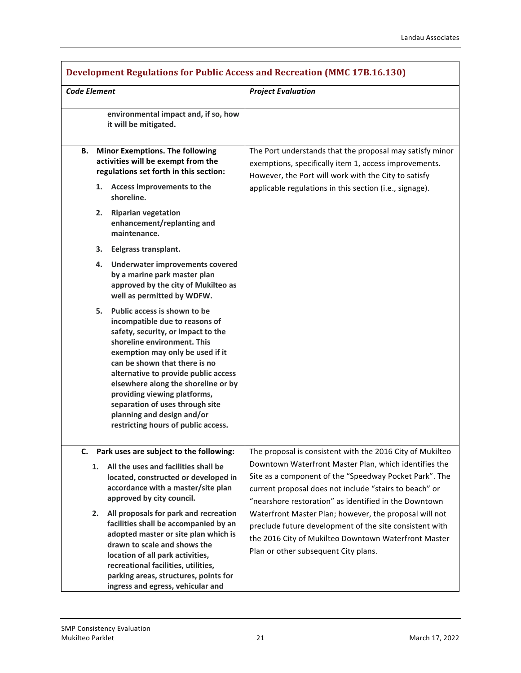| <b>Development Regulations for Public Access and Recreation (MMC 17B.16.130)</b>                                                                                                                                                                                                                                                                                                                                                   |                                                                                                                                                                                                                                                                                                 |
|------------------------------------------------------------------------------------------------------------------------------------------------------------------------------------------------------------------------------------------------------------------------------------------------------------------------------------------------------------------------------------------------------------------------------------|-------------------------------------------------------------------------------------------------------------------------------------------------------------------------------------------------------------------------------------------------------------------------------------------------|
| <b>Code Element</b>                                                                                                                                                                                                                                                                                                                                                                                                                | <b>Project Evaluation</b>                                                                                                                                                                                                                                                                       |
| environmental impact and, if so, how<br>it will be mitigated.                                                                                                                                                                                                                                                                                                                                                                      |                                                                                                                                                                                                                                                                                                 |
| <b>Minor Exemptions. The following</b><br>В.<br>activities will be exempt from the<br>regulations set forth in this section:<br>1. Access improvements to the<br>shoreline.                                                                                                                                                                                                                                                        | The Port understands that the proposal may satisfy minor<br>exemptions, specifically item 1, access improvements.<br>However, the Port will work with the City to satisfy<br>applicable regulations in this section (i.e., signage).                                                            |
| 2. Riparian vegetation<br>enhancement/replanting and<br>maintenance.                                                                                                                                                                                                                                                                                                                                                               |                                                                                                                                                                                                                                                                                                 |
| 3. Eelgrass transplant.                                                                                                                                                                                                                                                                                                                                                                                                            |                                                                                                                                                                                                                                                                                                 |
| 4. Underwater improvements covered<br>by a marine park master plan<br>approved by the city of Mukilteo as<br>well as permitted by WDFW.                                                                                                                                                                                                                                                                                            |                                                                                                                                                                                                                                                                                                 |
| 5. Public access is shown to be<br>incompatible due to reasons of<br>safety, security, or impact to the<br>shoreline environment. This<br>exemption may only be used if it<br>can be shown that there is no<br>alternative to provide public access<br>elsewhere along the shoreline or by<br>providing viewing platforms,<br>separation of uses through site<br>planning and design and/or<br>restricting hours of public access. |                                                                                                                                                                                                                                                                                                 |
| Park uses are subject to the following:<br>C.<br>All the uses and facilities shall be<br>1.<br>located, constructed or developed in<br>accordance with a master/site plan<br>approved by city council.                                                                                                                                                                                                                             | The proposal is consistent with the 2016 City of Mukilteo<br>Downtown Waterfront Master Plan, which identifies the<br>Site as a component of the "Speedway Pocket Park". The<br>current proposal does not include "stairs to beach" or<br>"nearshore restoration" as identified in the Downtown |
| All proposals for park and recreation<br>2.<br>facilities shall be accompanied by an<br>adopted master or site plan which is<br>drawn to scale and shows the<br>location of all park activities,<br>recreational facilities, utilities,<br>parking areas, structures, points for<br>ingress and egress, vehicular and                                                                                                              | Waterfront Master Plan; however, the proposal will not<br>preclude future development of the site consistent with<br>the 2016 City of Mukilteo Downtown Waterfront Master<br>Plan or other subsequent City plans.                                                                               |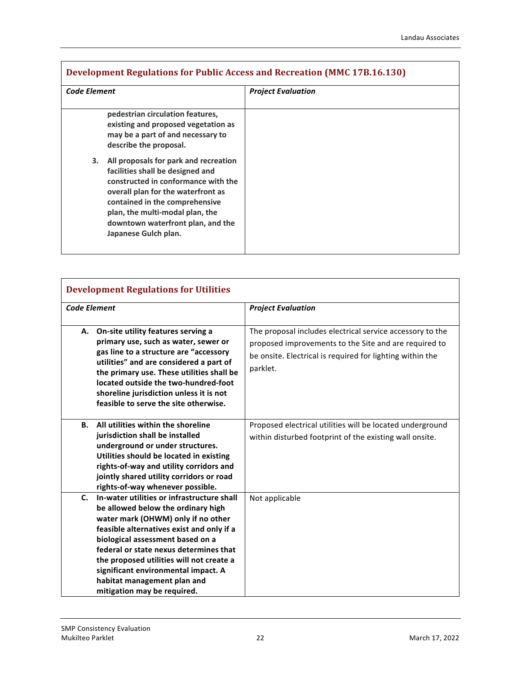| <b>Code Element</b> |                                                                                                                                                                                                                                                                                          | <b>Project Evaluation</b> |
|---------------------|------------------------------------------------------------------------------------------------------------------------------------------------------------------------------------------------------------------------------------------------------------------------------------------|---------------------------|
|                     | pedestrian circulation features,<br>existing and proposed vegetation as<br>may be a part of and necessary to<br>describe the proposal.                                                                                                                                                   |                           |
| 3.                  | All proposals for park and recreation<br>facilities shall be designed and<br>constructed in conformance with the<br>overall plan for the waterfront as<br>contained in the comprehensive<br>plan, the multi-modal plan, the<br>downtown waterfront plan, and the<br>Japanese Gulch plan. |                           |

| <b>Development Regulations for Utilities</b> |                                                                                                                                                                                                                                                                                                                                                                                                    |                                                                                                                                                                                             |
|----------------------------------------------|----------------------------------------------------------------------------------------------------------------------------------------------------------------------------------------------------------------------------------------------------------------------------------------------------------------------------------------------------------------------------------------------------|---------------------------------------------------------------------------------------------------------------------------------------------------------------------------------------------|
| <b>Code Element</b>                          |                                                                                                                                                                                                                                                                                                                                                                                                    | <b>Project Evaluation</b>                                                                                                                                                                   |
| А.                                           | On-site utility features serving a<br>primary use, such as water, sewer or<br>gas line to a structure are "accessory<br>utilities" and are considered a part of<br>the primary use. These utilities shall be<br>located outside the two-hundred-foot<br>shoreline jurisdiction unless it is not<br>feasible to serve the site otherwise.                                                           | The proposal includes electrical service accessory to the<br>proposed improvements to the Site and are required to<br>be onsite. Electrical is required for lighting within the<br>parklet. |
| <b>B.</b>                                    | All utilities within the shoreline<br>jurisdiction shall be installed<br>underground or under structures.<br>Utilities should be located in existing<br>rights-of-way and utility corridors and<br>jointly shared utility corridors or road<br>rights-of-way whenever possible.                                                                                                                    | Proposed electrical utilities will be located underground<br>within disturbed footprint of the existing wall onsite.                                                                        |
| $C_{\cdot}$                                  | In-water utilities or infrastructure shall<br>be allowed below the ordinary high<br>water mark (OHWM) only if no other<br>feasible alternatives exist and only if a<br>biological assessment based on a<br>federal or state nexus determines that<br>the proposed utilities will not create a<br>significant environmental impact. A<br>habitat management plan and<br>mitigation may be required. | Not applicable                                                                                                                                                                              |

Г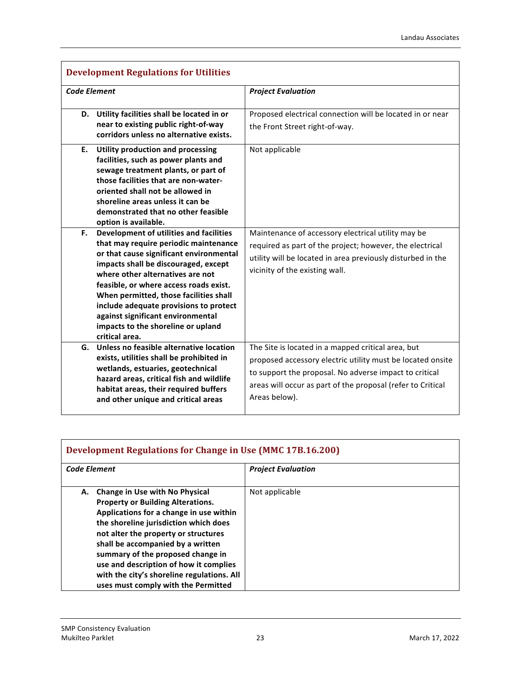| <b>Development Regulations for Utilities</b>                                                                                                                                                                                                                                                                                                                                                                                             |                                                                                                                                                                                                                                                            |
|------------------------------------------------------------------------------------------------------------------------------------------------------------------------------------------------------------------------------------------------------------------------------------------------------------------------------------------------------------------------------------------------------------------------------------------|------------------------------------------------------------------------------------------------------------------------------------------------------------------------------------------------------------------------------------------------------------|
| <b>Code Element</b>                                                                                                                                                                                                                                                                                                                                                                                                                      | <b>Project Evaluation</b>                                                                                                                                                                                                                                  |
| Utility facilities shall be located in or<br>D.<br>near to existing public right-of-way<br>corridors unless no alternative exists.                                                                                                                                                                                                                                                                                                       | Proposed electrical connection will be located in or near<br>the Front Street right-of-way.                                                                                                                                                                |
| <b>Utility production and processing</b><br>Е.<br>facilities, such as power plants and<br>sewage treatment plants, or part of<br>those facilities that are non-water-<br>oriented shall not be allowed in<br>shoreline areas unless it can be<br>demonstrated that no other feasible<br>option is available.                                                                                                                             | Not applicable                                                                                                                                                                                                                                             |
| Development of utilities and facilities<br>F.<br>that may require periodic maintenance<br>or that cause significant environmental<br>impacts shall be discouraged, except<br>where other alternatives are not<br>feasible, or where access roads exist.<br>When permitted, those facilities shall<br>include adequate provisions to protect<br>against significant environmental<br>impacts to the shoreline or upland<br>critical area. | Maintenance of accessory electrical utility may be<br>required as part of the project; however, the electrical<br>utility will be located in area previously disturbed in the<br>vicinity of the existing wall.                                            |
| Unless no feasible alternative location<br>G.<br>exists, utilities shall be prohibited in<br>wetlands, estuaries, geotechnical<br>hazard areas, critical fish and wildlife<br>habitat areas, their required buffers<br>and other unique and critical areas                                                                                                                                                                               | The Site is located in a mapped critical area, but<br>proposed accessory electric utility must be located onsite<br>to support the proposal. No adverse impact to critical<br>areas will occur as part of the proposal (refer to Critical<br>Areas below). |

| <b>Development Regulations for Change in Use (MMC 17B.16.200)</b>                                                                                                                                                                                                                                                                                                                                                            |                           |
|------------------------------------------------------------------------------------------------------------------------------------------------------------------------------------------------------------------------------------------------------------------------------------------------------------------------------------------------------------------------------------------------------------------------------|---------------------------|
| <b>Code Element</b>                                                                                                                                                                                                                                                                                                                                                                                                          | <b>Project Evaluation</b> |
| <b>Change in Use with No Physical</b><br>А.<br><b>Property or Building Alterations.</b><br>Applications for a change in use within<br>the shoreline jurisdiction which does<br>not alter the property or structures<br>shall be accompanied by a written<br>summary of the proposed change in<br>use and description of how it complies<br>with the city's shoreline regulations. All<br>uses must comply with the Permitted | Not applicable            |

 $\Gamma$ 

٦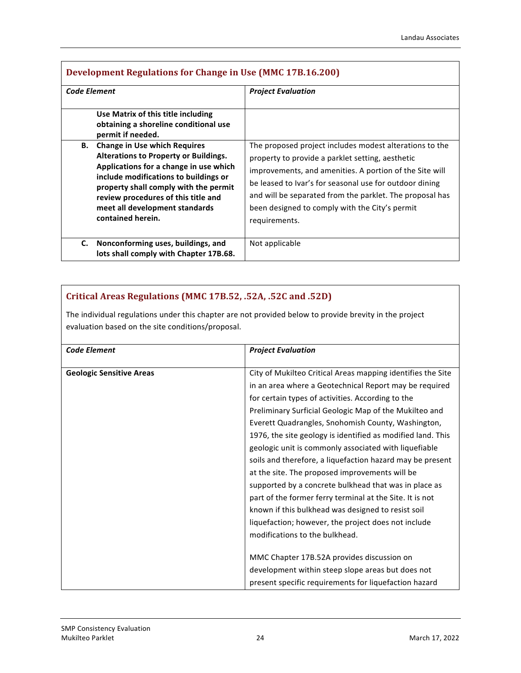|              | <b>Development Regulations for Change in Use (MMC 17B.16.200)</b>                                                                                                                                                                                                                                                                                                                                                 |                                                                                                                                                                                                                                                                                                                                                                  |
|--------------|-------------------------------------------------------------------------------------------------------------------------------------------------------------------------------------------------------------------------------------------------------------------------------------------------------------------------------------------------------------------------------------------------------------------|------------------------------------------------------------------------------------------------------------------------------------------------------------------------------------------------------------------------------------------------------------------------------------------------------------------------------------------------------------------|
| Code Element |                                                                                                                                                                                                                                                                                                                                                                                                                   | <b>Project Evaluation</b>                                                                                                                                                                                                                                                                                                                                        |
| В.           | Use Matrix of this title including<br>obtaining a shoreline conditional use<br>permit if needed.<br><b>Change in Use which Requires</b><br><b>Alterations to Property or Buildings.</b><br>Applications for a change in use which<br>include modifications to buildings or<br>property shall comply with the permit<br>review procedures of this title and<br>meet all development standards<br>contained herein. | The proposed project includes modest alterations to the<br>property to provide a parklet setting, aesthetic<br>improvements, and amenities. A portion of the Site will<br>be leased to Ivar's for seasonal use for outdoor dining<br>and will be separated from the parklet. The proposal has<br>been designed to comply with the City's permit<br>requirements. |
| C.           | Nonconforming uses, buildings, and<br>lots shall comply with Chapter 17B.68.                                                                                                                                                                                                                                                                                                                                      | Not applicable                                                                                                                                                                                                                                                                                                                                                   |

## **Critical Areas Regulations (MMC 17B.52, .52A, .52C and .52D)**

The individual regulations under this chapter are not provided below to provide brevity in the project evaluation based on the site conditions/proposal.

| <b>Code Element</b>             | <b>Project Evaluation</b>                                   |
|---------------------------------|-------------------------------------------------------------|
| <b>Geologic Sensitive Areas</b> | City of Mukilteo Critical Areas mapping identifies the Site |
|                                 | in an area where a Geotechnical Report may be required      |
|                                 | for certain types of activities. According to the           |
|                                 | Preliminary Surficial Geologic Map of the Mukilteo and      |
|                                 | Everett Quadrangles, Snohomish County, Washington,          |
|                                 | 1976, the site geology is identified as modified land. This |
|                                 | geologic unit is commonly associated with liquefiable       |
|                                 | soils and therefore, a liquefaction hazard may be present   |
|                                 | at the site. The proposed improvements will be              |
|                                 | supported by a concrete bulkhead that was in place as       |
|                                 | part of the former ferry terminal at the Site. It is not    |
|                                 | known if this bulkhead was designed to resist soil          |
|                                 | liquefaction; however, the project does not include         |
|                                 | modifications to the bulkhead.                              |
|                                 |                                                             |
|                                 | MMC Chapter 17B.52A provides discussion on                  |
|                                 | development within steep slope areas but does not           |
|                                 | present specific requirements for liquefaction hazard       |

Г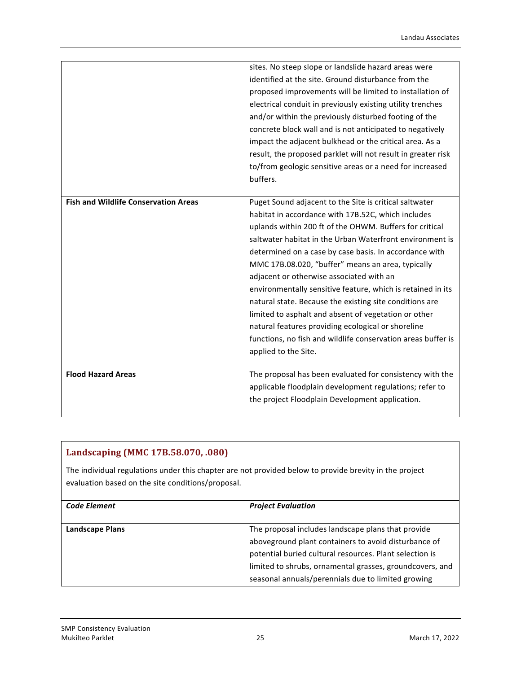|                                             | sites. No steep slope or landslide hazard areas were<br>identified at the site. Ground disturbance from the<br>proposed improvements will be limited to installation of<br>electrical conduit in previously existing utility trenches<br>and/or within the previously disturbed footing of the<br>concrete block wall and is not anticipated to negatively<br>impact the adjacent bulkhead or the critical area. As a<br>result, the proposed parklet will not result in greater risk<br>to/from geologic sensitive areas or a need for increased<br>buffers.                                                                                                                                                                  |
|---------------------------------------------|--------------------------------------------------------------------------------------------------------------------------------------------------------------------------------------------------------------------------------------------------------------------------------------------------------------------------------------------------------------------------------------------------------------------------------------------------------------------------------------------------------------------------------------------------------------------------------------------------------------------------------------------------------------------------------------------------------------------------------|
| <b>Fish and Wildlife Conservation Areas</b> | Puget Sound adjacent to the Site is critical saltwater<br>habitat in accordance with 17B.52C, which includes<br>uplands within 200 ft of the OHWM. Buffers for critical<br>saltwater habitat in the Urban Waterfront environment is<br>determined on a case by case basis. In accordance with<br>MMC 17B.08.020, "buffer" means an area, typically<br>adjacent or otherwise associated with an<br>environmentally sensitive feature, which is retained in its<br>natural state. Because the existing site conditions are<br>limited to asphalt and absent of vegetation or other<br>natural features providing ecological or shoreline<br>functions, no fish and wildlife conservation areas buffer is<br>applied to the Site. |
| <b>Flood Hazard Areas</b>                   | The proposal has been evaluated for consistency with the<br>applicable floodplain development regulations; refer to<br>the project Floodplain Development application.                                                                                                                                                                                                                                                                                                                                                                                                                                                                                                                                                         |

| Landscaping (MMC 17B.58.070, .080) |  |  |  |
|------------------------------------|--|--|--|
|------------------------------------|--|--|--|

The individual regulations under this chapter are not provided below to provide brevity in the project evaluation based on the site conditions/proposal.

| <b>Code Element</b>    | <b>Project Evaluation</b>                                |
|------------------------|----------------------------------------------------------|
| <b>Landscape Plans</b> | The proposal includes landscape plans that provide       |
|                        | aboveground plant containers to avoid disturbance of     |
|                        | potential buried cultural resources. Plant selection is  |
|                        | limited to shrubs, ornamental grasses, groundcovers, and |
|                        | seasonal annuals/perennials due to limited growing       |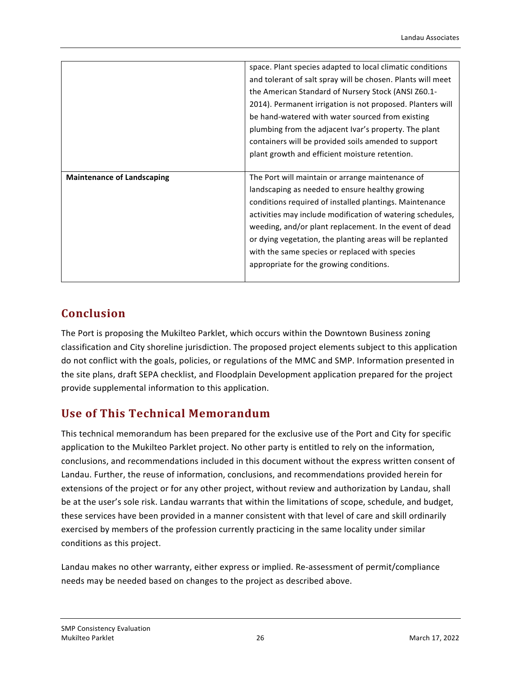|                                   | space. Plant species adapted to local climatic conditions   |
|-----------------------------------|-------------------------------------------------------------|
|                                   | and tolerant of salt spray will be chosen. Plants will meet |
|                                   | the American Standard of Nursery Stock (ANSI Z60.1-         |
|                                   | 2014). Permanent irrigation is not proposed. Planters will  |
|                                   | be hand-watered with water sourced from existing            |
|                                   | plumbing from the adjacent Ivar's property. The plant       |
|                                   | containers will be provided soils amended to support        |
|                                   | plant growth and efficient moisture retention.              |
|                                   |                                                             |
|                                   |                                                             |
| <b>Maintenance of Landscaping</b> | The Port will maintain or arrange maintenance of            |
|                                   | landscaping as needed to ensure healthy growing             |
|                                   | conditions required of installed plantings. Maintenance     |
|                                   | activities may include modification of watering schedules,  |
|                                   | weeding, and/or plant replacement. In the event of dead     |
|                                   | or dying vegetation, the planting areas will be replanted   |
|                                   | with the same species or replaced with species              |
|                                   | appropriate for the growing conditions.                     |

## **Conclusion**

The Port is proposing the Mukilteo Parklet, which occurs within the Downtown Business zoning classification and City shoreline jurisdiction. The proposed project elements subject to this application do not conflict with the goals, policies, or regulations of the MMC and SMP. Information presented in the site plans, draft SEPA checklist, and Floodplain Development application prepared for the project provide supplemental information to this application.

## **Use of This Technical Memorandum**

This technical memorandum has been prepared for the exclusive use of the Port and City for specific application to the Mukilteo Parklet project. No other party is entitled to rely on the information, conclusions, and recommendations included in this document without the express written consent of Landau. Further, the reuse of information, conclusions, and recommendations provided herein for extensions of the project or for any other project, without review and authorization by Landau, shall be at the user's sole risk. Landau warrants that within the limitations of scope, schedule, and budget, these services have been provided in a manner consistent with that level of care and skill ordinarily exercised by members of the profession currently practicing in the same locality under similar conditions as this project.

Landau makes no other warranty, either express or implied. Re-assessment of permit/compliance needs may be needed based on changes to the project as described above.